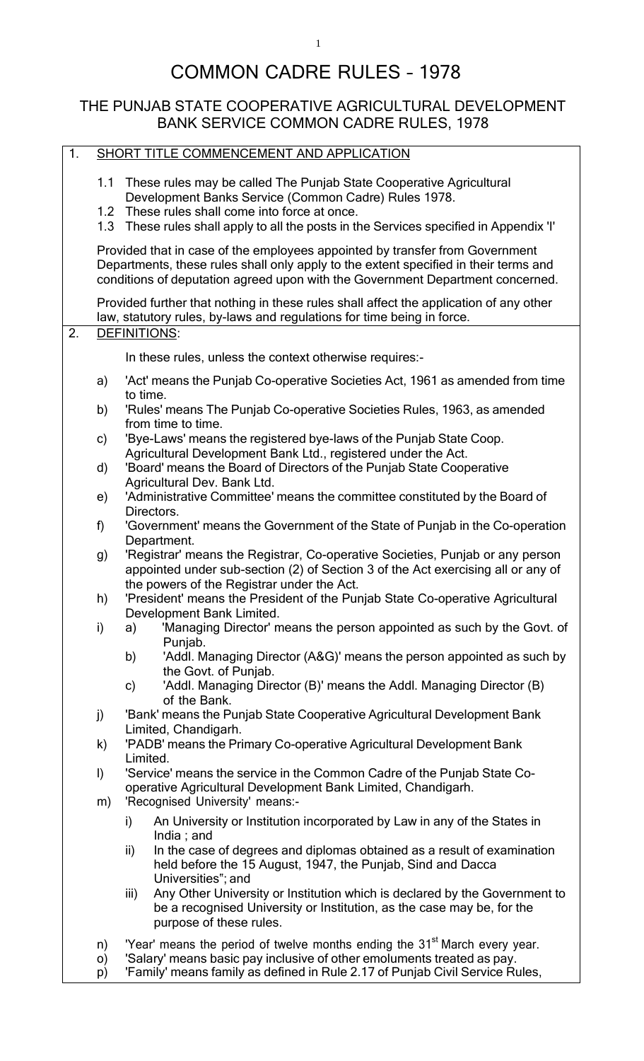# COMMON CADRE RULES – 1978

### THE PUNJAB STATE COOPERATIVE AGRICULTURAL DEVELOPMENT BANK SERVICE COMMON CADRE RULES, 1978

| $\overline{1}$ . |          | SHORT TITLE COMMENCEMENT AND APPLICATION                                                                                                                                                                                                                                |
|------------------|----------|-------------------------------------------------------------------------------------------------------------------------------------------------------------------------------------------------------------------------------------------------------------------------|
|                  | 1.1      | These rules may be called The Punjab State Cooperative Agricultural<br>Development Banks Service (Common Cadre) Rules 1978.<br>1.2 These rules shall come into force at once.<br>1.3 These rules shall apply to all the posts in the Services specified in Appendix 'I' |
|                  |          | Provided that in case of the employees appointed by transfer from Government<br>Departments, these rules shall only apply to the extent specified in their terms and<br>conditions of deputation agreed upon with the Government Department concerned.                  |
|                  |          | Provided further that nothing in these rules shall affect the application of any other<br>law, statutory rules, by-laws and regulations for time being in force.                                                                                                        |
| $\overline{2}$ . |          | <b>DEFINITIONS:</b>                                                                                                                                                                                                                                                     |
|                  |          | In these rules, unless the context otherwise requires:-                                                                                                                                                                                                                 |
|                  | a)       | 'Act' means the Punjab Co-operative Societies Act, 1961 as amended from time<br>to time.                                                                                                                                                                                |
|                  | b)       | 'Rules' means The Punjab Co-operative Societies Rules, 1963, as amended<br>from time to time.                                                                                                                                                                           |
|                  | c)       | 'Bye-Laws' means the registered bye-laws of the Punjab State Coop.<br>Agricultural Development Bank Ltd., registered under the Act.                                                                                                                                     |
|                  | d)       | 'Board' means the Board of Directors of the Punjab State Cooperative<br>Agricultural Dev. Bank Ltd.                                                                                                                                                                     |
|                  | e)       | 'Administrative Committee' means the committee constituted by the Board of<br>Directors.                                                                                                                                                                                |
|                  | f)       | 'Government' means the Government of the State of Punjab in the Co-operation<br>Department.                                                                                                                                                                             |
|                  | g)       | 'Registrar' means the Registrar, Co-operative Societies, Punjab or any person<br>appointed under sub-section (2) of Section 3 of the Act exercising all or any of<br>the powers of the Registrar under the Act.                                                         |
|                  | h)       | 'President' means the President of the Punjab State Co-operative Agricultural<br>Development Bank Limited.                                                                                                                                                              |
|                  | i)       | 'Managing Director' means the person appointed as such by the Govt. of<br>a)<br>Punjab.                                                                                                                                                                                 |
|                  |          | 'Addl. Managing Director (A&G)' means the person appointed as such by<br>b)<br>the Govt. of Punjab.                                                                                                                                                                     |
|                  |          | 'Addl. Managing Director (B)' means the Addl. Managing Director (B)<br>$\mathsf{c})$<br>of the Bank.                                                                                                                                                                    |
|                  | j)       | 'Bank' means the Punjab State Cooperative Agricultural Development Bank<br>Limited, Chandigarh.                                                                                                                                                                         |
|                  | k)       | 'PADB' means the Primary Co-operative Agricultural Development Bank<br>Limited.                                                                                                                                                                                         |
|                  | $\vert$  | 'Service' means the service in the Common Cadre of the Punjab State Co-<br>operative Agricultural Development Bank Limited, Chandigarh.                                                                                                                                 |
|                  | m)       | 'Recognised University' means:-<br>An University or Institution incorporated by Law in any of the States in<br>i)                                                                                                                                                       |
|                  |          | India; and<br>In the case of degrees and diplomas obtained as a result of examination<br>ii)<br>held before the 15 August, 1947, the Punjab, Sind and Dacca<br>Universities"; and                                                                                       |
|                  |          | Any Other University or Institution which is declared by the Government to<br>iii)<br>be a recognised University or Institution, as the case may be, for the<br>purpose of these rules.                                                                                 |
|                  | n)<br>O) | 'Year' means the period of twelve months ending the 31 <sup>st</sup> March every year.<br>'Salary' means basic pay inclusive of other emoluments treated as pay.                                                                                                        |
|                  | p)       | 'Family' means family as defined in Rule 2.17 of Punjab Civil Service Rules,                                                                                                                                                                                            |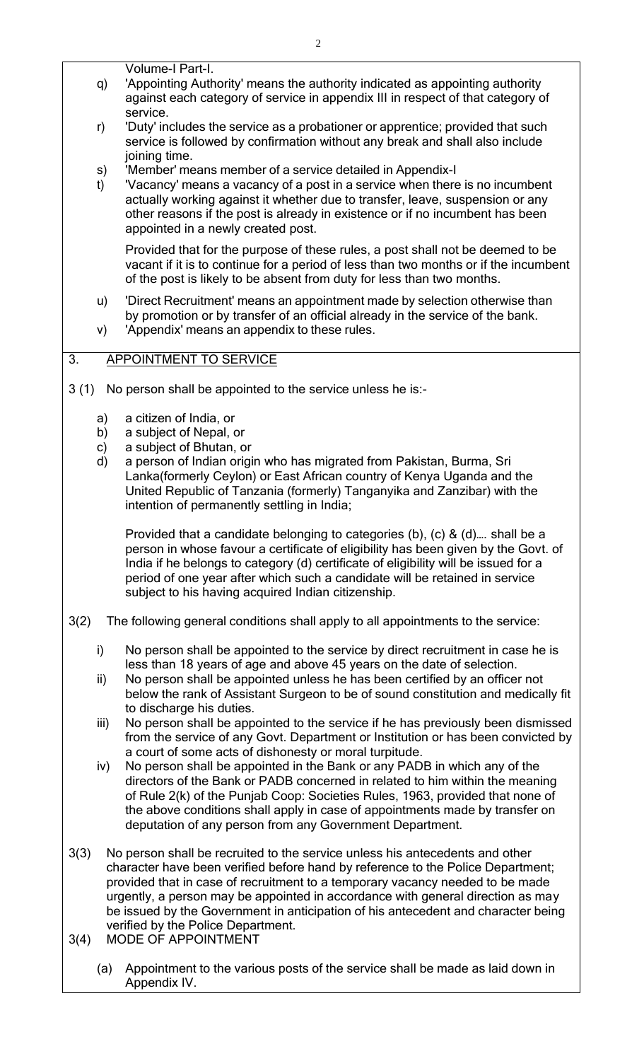Volume-I Part-I.

- q) 'Appointing Authority' means the authority indicated as appointing authority against each category of service in appendix III in respect of that category of service.
- r) 'Duty' includes the service as a probationer or apprentice; provided that such service is followed by confirmation without any break and shall also include joining time.
- s) 'Member' means member of a service detailed in Appendix-I
- t) 'Vacancy' means a vacancy of a post in a service when there is no incumbent actually working against it whether due to transfer, leave, suspension or any other reasons if the post is already in existence or if no incumbent has been appointed in a newly created post.

Provided that for the purpose of these rules, a post shall not be deemed to be vacant if it is to continue for a period of less than two months or if the incumbent of the post is likely to be absent from duty for less than two months.

- u) 'Direct Recruitment' means an appointment made by selection otherwise than by promotion or by transfer of an official already in the service of the bank.
- v) 'Appendix' means an appendix to these rules.

### 3. APPOINTMENT TO SERVICE

- 3 (1) No person shall be appointed to the service unless he is:
	- a) a citizen of India, or
	- b) a subject of Nepal, or
	- c) a subject of Bhutan, or
	- d) a person of Indian origin who has migrated from Pakistan, Burma, Sri Lanka(formerly Ceylon) or East African country of Kenya Uganda and the United Republic of Tanzania (formerly) Tanganyika and Zanzibar) with the intention of permanently settling in India;

Provided that a candidate belonging to categories (b), (c) & (d)…. shall be a person in whose favour a certificate of eligibility has been given by the Govt. of India if he belongs to category (d) certificate of eligibility will be issued for a period of one year after which such a candidate will be retained in service subject to his having acquired Indian citizenship.

- 3(2) The following general conditions shall apply to all appointments to the service:
	- i) No person shall be appointed to the service by direct recruitment in case he is less than 18 years of age and above 45 years on the date of selection.
	- ii) No person shall be appointed unless he has been certified by an officer not below the rank of Assistant Surgeon to be of sound constitution and medically fit to discharge his duties.
	- iii) No person shall be appointed to the service if he has previously been dismissed from the service of any Govt. Department or Institution or has been convicted by a court of some acts of dishonesty or moral turpitude.
	- iv) No person shall be appointed in the Bank or any PADB in which any of the directors of the Bank or PADB concerned in related to him within the meaning of Rule 2(k) of the Punjab Coop: Societies Rules, 1963, provided that none of the above conditions shall apply in case of appointments made by transfer on deputation of any person from any Government Department.
- 3(3) No person shall be recruited to the service unless his antecedents and other character have been verified before hand by reference to the Police Department; provided that in case of recruitment to a temporary vacancy needed to be made urgently, a person may be appointed in accordance with general direction as may be issued by the Government in anticipation of his antecedent and character being verified by the Police Department.
- 3(4) MODE OF APPOINTMENT
	- (a) Appointment to the various posts of the service shall be made as laid down in Appendix IV.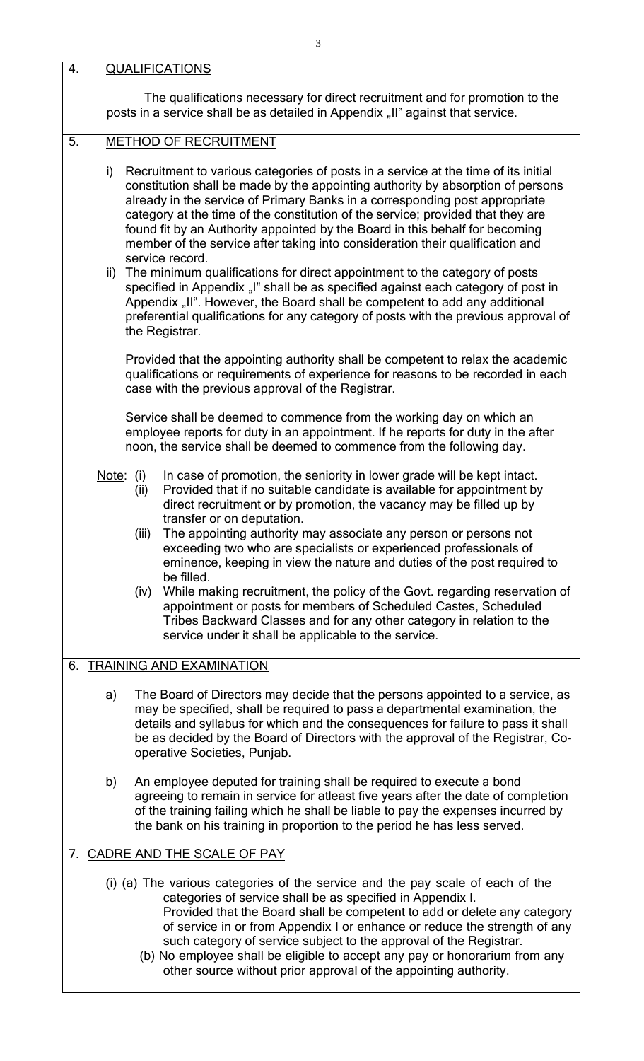4. QUALIFICATIONS The qualifications necessary for direct recruitment and for promotion to the posts in a service shall be as detailed in Appendix "II" against that service. 5. METHOD OF RECRUITMENT i) Recruitment to various categories of posts in a service at the time of its initial constitution shall be made by the appointing authority by absorption of persons already in the service of Primary Banks in a corresponding post appropriate category at the time of the constitution of the service; provided that they are found fit by an Authority appointed by the Board in this behalf for becoming member of the service after taking into consideration their qualification and service record. ii) The minimum qualifications for direct appointment to the category of posts specified in Appendix "I" shall be as specified against each category of post in Appendix "II". However, the Board shall be competent to add any additional preferential qualifications for any category of posts with the previous approval of the Registrar. Provided that the appointing authority shall be competent to relax the academic qualifications or requirements of experience for reasons to be recorded in each case with the previous approval of the Registrar. Service shall be deemed to commence from the working day on which an employee reports for duty in an appointment. If he reports for duty in the after noon, the service shall be deemed to commence from the following day. Note: (i) In case of promotion, the seniority in lower grade will be kept intact. (ii) Provided that if no suitable candidate is available for appointment by direct recruitment or by promotion, the vacancy may be filled up by transfer or on deputation. (iii) The appointing authority may associate any person or persons not exceeding two who are specialists or experienced professionals of eminence, keeping in view the nature and duties of the post required to be filled. (iv) While making recruitment, the policy of the Govt. regarding reservation of appointment or posts for members of Scheduled Castes, Scheduled Tribes Backward Classes and for any other category in relation to the service under it shall be applicable to the service. 6. TRAINING AND EXAMINATION a) The Board of Directors may decide that the persons appointed to a service, as may be specified, shall be required to pass a departmental examination, the details and syllabus for which and the consequences for failure to pass it shall be as decided by the Board of Directors with the approval of the Registrar, Cooperative Societies, Punjab. b) An employee deputed for training shall be required to execute a bond agreeing to remain in service for atleast five years after the date of completion of the training failing which he shall be liable to pay the expenses incurred by the bank on his training in proportion to the period he has less served. 7. CADRE AND THE SCALE OF PAY (i) (a) The various categories of the service and the pay scale of each of the categories of service shall be as specified in Appendix I. Provided that the Board shall be competent to add or delete any category of service in or from Appendix I or enhance or reduce the strength of any such category of service subject to the approval of the Registrar. (b) No employee shall be eligible to accept any pay or honorarium from any other source without prior approval of the appointing authority.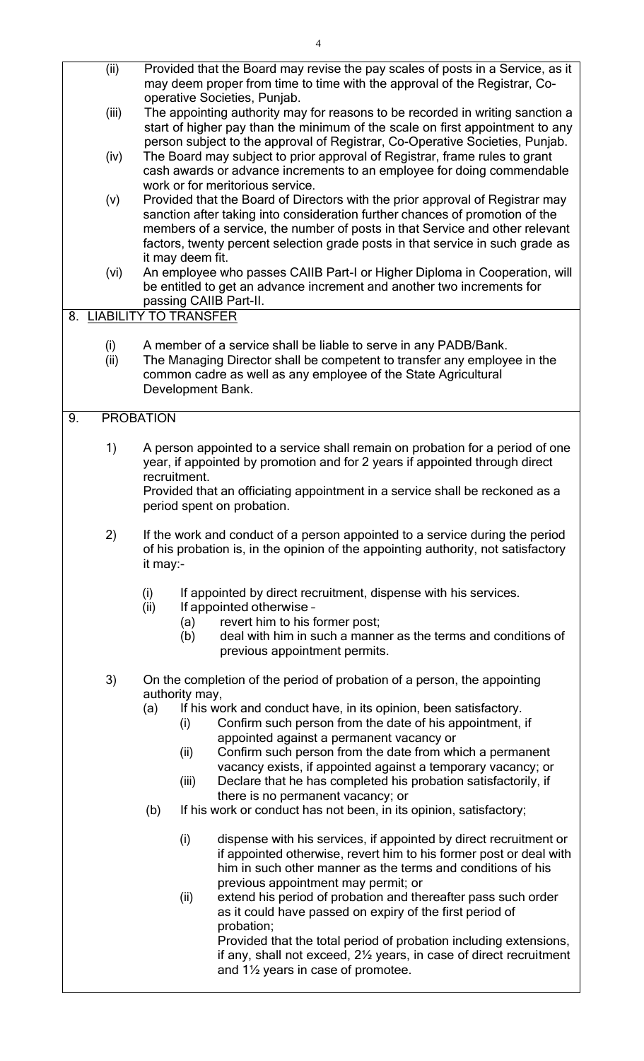- (ii) Provided that the Board may revise the pay scales of posts in a Service, as it may deem proper from time to time with the approval of the Registrar, Cooperative Societies, Punjab.
- (iii) The appointing authority may for reasons to be recorded in writing sanction a start of higher pay than the minimum of the scale on first appointment to any person subject to the approval of Registrar, Co-Operative Societies, Punjab.
- (iv) The Board may subject to prior approval of Registrar, frame rules to grant cash awards or advance increments to an employee for doing commendable work or for meritorious service.
- (v) Provided that the Board of Directors with the prior approval of Registrar may sanction after taking into consideration further chances of promotion of the members of a service, the number of posts in that Service and other relevant factors, twenty percent selection grade posts in that service in such grade as it may deem fit.
- (vi) An employee who passes CAIIB Part-I or Higher Diploma in Cooperation, will be entitled to get an advance increment and another two increments for passing CAIIB Part-II.

### 8. LIABILITY TO TRANSFER

- (i) A member of a service shall be liable to serve in any PADB/Bank.
- (ii) The Managing Director shall be competent to transfer any employee in the common cadre as well as any employee of the State Agricultural Development Bank.

### 9. PROBATION

- 1) A person appointed to a service shall remain on probation for a period of one year, if appointed by promotion and for 2 years if appointed through direct recruitment. Provided that an officiating appointment in a service shall be reckoned as a period spent on probation.
- 2) If the work and conduct of a person appointed to a service during the period of his probation is, in the opinion of the appointing authority, not satisfactory it may:-
	- (i) If appointed by direct recruitment, dispense with his services.
	- (ii) If appointed otherwise -
		- (a) revert him to his former post;
		- (b) deal with him in such a manner as the terms and conditions of previous appointment permits.
- 3) On the completion of the period of probation of a person, the appointing authority may,
	- (a) If his work and conduct have, in its opinion, been satisfactory.
		- (i) Confirm such person from the date of his appointment, if appointed against a permanent vacancy or
		- (ii) Confirm such person from the date from which a permanent vacancy exists, if appointed against a temporary vacancy; or
		- (iii) Declare that he has completed his probation satisfactorily, if there is no permanent vacancy; or
	- (b) If his work or conduct has not been, in its opinion, satisfactory;
		- (i) dispense with his services, if appointed by direct recruitment or if appointed otherwise, revert him to his former post or deal with him in such other manner as the terms and conditions of his previous appointment may permit; or
		- (ii) extend his period of probation and thereafter pass such order as it could have passed on expiry of the first period of probation;

Provided that the total period of probation including extensions, if any, shall not exceed, 2½ years, in case of direct recruitment and 1½ years in case of promotee.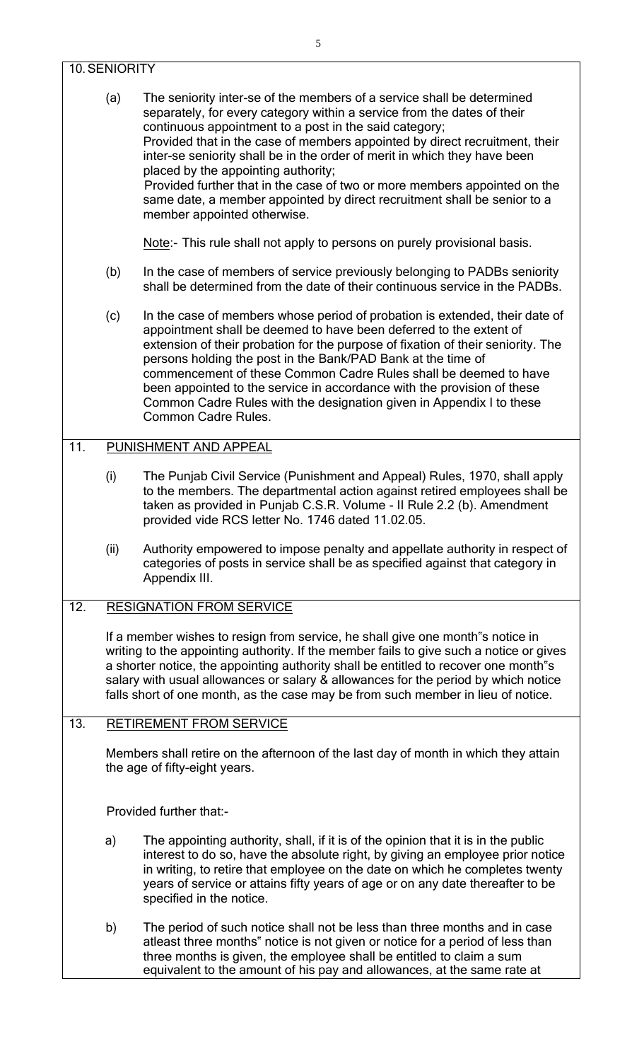### 10.SENIORITY

(a) The seniority inter-se of the members of a service shall be determined separately, for every category within a service from the dates of their continuous appointment to a post in the said category; Provided that in the case of members appointed by direct recruitment, their inter-se seniority shall be in the order of merit in which they have been placed by the appointing authority; Provided further that in the case of two or more members appointed on the same date, a member appointed by direct recruitment shall be senior to a member appointed otherwise.

Note:- This rule shall not apply to persons on purely provisional basis.

- (b) In the case of members of service previously belonging to PADBs seniority shall be determined from the date of their continuous service in the PADBs.
- (c) In the case of members whose period of probation is extended, their date of appointment shall be deemed to have been deferred to the extent of extension of their probation for the purpose of fixation of their seniority. The persons holding the post in the Bank/PAD Bank at the time of commencement of these Common Cadre Rules shall be deemed to have been appointed to the service in accordance with the provision of these Common Cadre Rules with the designation given in Appendix I to these Common Cadre Rules.

### 11. PUNISHMENT AND APPEAL

- (i) The Punjab Civil Service (Punishment and Appeal) Rules, 1970, shall apply to the members. The departmental action against retired employees shall be taken as provided in Punjab C.S.R. Volume - II Rule 2.2 (b). Amendment provided vide RCS letter No. 1746 dated 11.02.05.
- (ii) Authority empowered to impose penalty and appellate authority in respect of categories of posts in service shall be as specified against that category in Appendix III.
- 12. RESIGNATION FROM SERVICE

If a member wishes to resign from service, he shall give one month"s notice in writing to the appointing authority. If the member fails to give such a notice or gives a shorter notice, the appointing authority shall be entitled to recover one month"s salary with usual allowances or salary & allowances for the period by which notice falls short of one month, as the case may be from such member in lieu of notice.

13. RETIREMENT FROM SERVICE

Members shall retire on the afternoon of the last day of month in which they attain the age of fifty-eight years.

Provided further that:-

- a) The appointing authority, shall, if it is of the opinion that it is in the public interest to do so, have the absolute right, by giving an employee prior notice in writing, to retire that employee on the date on which he completes twenty years of service or attains fifty years of age or on any date thereafter to be specified in the notice.
- b) The period of such notice shall not be less than three months and in case atleast three months" notice is not given or notice for a period of less than three months is given, the employee shall be entitled to claim a sum equivalent to the amount of his pay and allowances, at the same rate at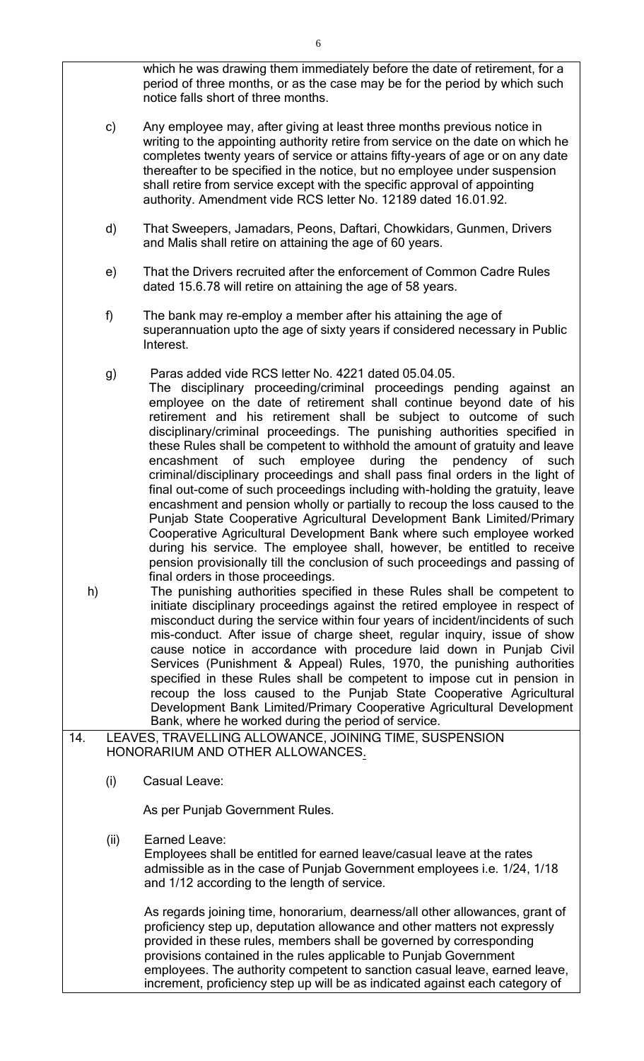which he was drawing them immediately before the date of retirement, for a period of three months, or as the case may be for the period by which such notice falls short of three months.

- c) Any employee may, after giving at least three months previous notice in writing to the appointing authority retire from service on the date on which he completes twenty years of service or attains fifty-years of age or on any date thereafter to be specified in the notice, but no employee under suspension shall retire from service except with the specific approval of appointing authority. Amendment vide RCS letter No. 12189 dated 16.01.92.
- d) That Sweepers, Jamadars, Peons, Daftari, Chowkidars, Gunmen, Drivers and Malis shall retire on attaining the age of 60 years.
- e) That the Drivers recruited after the enforcement of Common Cadre Rules dated 15.6.78 will retire on attaining the age of 58 years.
- f) The bank may re-employ a member after his attaining the age of superannuation upto the age of sixty years if considered necessary in Public Interest.
- g) Paras added vide RCS letter No. 4221 dated 05.04.05.
	- The disciplinary proceeding/criminal proceedings pending against an employee on the date of retirement shall continue beyond date of his retirement and his retirement shall be subject to outcome of such disciplinary/criminal proceedings. The punishing authorities specified in these Rules shall be competent to withhold the amount of gratuity and leave encashment of such employee during the pendency of such criminal/disciplinary proceedings and shall pass final orders in the light of final out-come of such proceedings including with-holding the gratuity, leave encashment and pension wholly or partially to recoup the loss caused to the Punjab State Cooperative Agricultural Development Bank Limited/Primary Cooperative Agricultural Development Bank where such employee worked during his service. The employee shall, however, be entitled to receive pension provisionally till the conclusion of such proceedings and passing of final orders in those proceedings.
- h) The punishing authorities specified in these Rules shall be competent to initiate disciplinary proceedings against the retired employee in respect of misconduct during the service within four years of incident/incidents of such mis-conduct. After issue of charge sheet, regular inquiry, issue of show cause notice in accordance with procedure laid down in Punjab Civil Services (Punishment & Appeal) Rules, 1970, the punishing authorities specified in these Rules shall be competent to impose cut in pension in recoup the loss caused to the Punjab State Cooperative Agricultural Development Bank Limited/Primary Cooperative Agricultural Development Bank, where he worked during the period of service.
- 14. LEAVES, TRAVELLING ALLOWANCE, JOINING TIME, SUSPENSION HONORARIUM AND OTHER ALLOWANCES.
	- (i) Casual Leave:

As per Punjab Government Rules.

(ii) Earned Leave:

Employees shall be entitled for earned leave/casual leave at the rates admissible as in the case of Punjab Government employees i.e. 1/24, 1/18 and 1/12 according to the length of service.

As regards joining time, honorarium, dearness/all other allowances, grant of proficiency step up, deputation allowance and other matters not expressly provided in these rules, members shall be governed by corresponding provisions contained in the rules applicable to Punjab Government employees. The authority competent to sanction casual leave, earned leave, increment, proficiency step up will be as indicated against each category of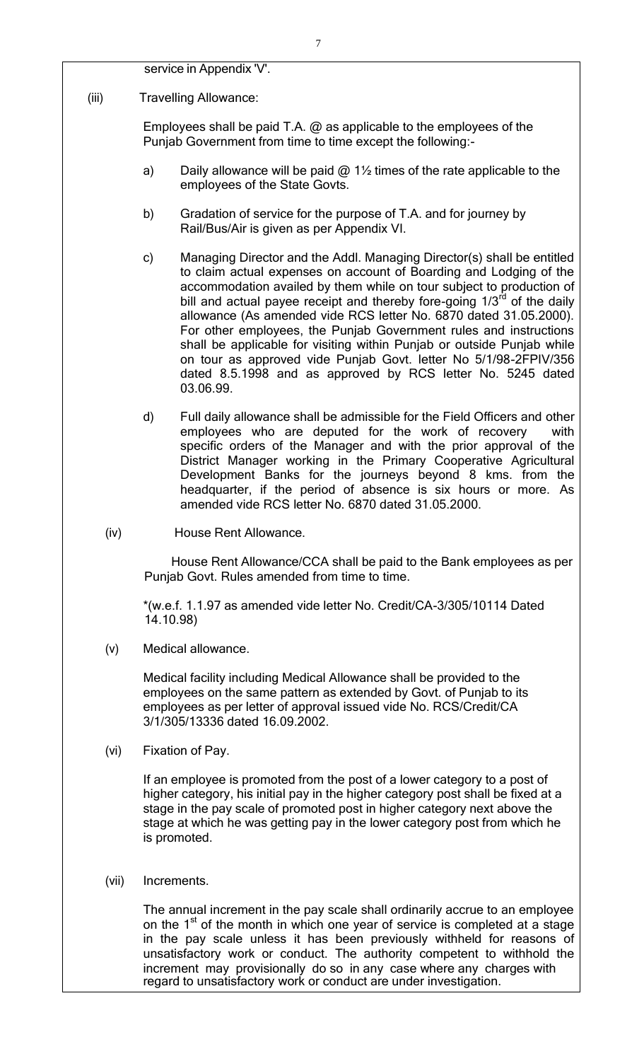service in Appendix 'V'.

(iii) Travelling Allowance:

Employees shall be paid T.A.  $@$  as applicable to the employees of the Punjab Government from time to time except the following:-

- a) Daily allowance will be paid  $@1\frac{1}{2}$  times of the rate applicable to the employees of the State Govts.
- b) Gradation of service for the purpose of T.A. and for journey by Rail/Bus/Air is given as per Appendix VI.
- c) Managing Director and the Addl. Managing Director(s) shall be entitled to claim actual expenses on account of Boarding and Lodging of the accommodation availed by them while on tour subject to production of bill and actual payee receipt and thereby fore-going  $1/3<sup>rd</sup>$  of the daily allowance (As amended vide RCS letter No. 6870 dated 31.05.2000). For other employees, the Punjab Government rules and instructions shall be applicable for visiting within Punjab or outside Punjab while on tour as approved vide Punjab Govt. letter No 5/1/98-2FPIV/356 dated 8.5.1998 and as approved by RCS letter No. 5245 dated 03.06.99.
- d) Full daily allowance shall be admissible for the Field Officers and other employees who are deputed for the work of recovery with specific orders of the Manager and with the prior approval of the District Manager working in the Primary Cooperative Agricultural Development Banks for the journeys beyond 8 kms. from the headquarter, if the period of absence is six hours or more. As amended vide RCS letter No. 6870 dated 31.05.2000.
- (iv) House Rent Allowance.

House Rent Allowance/CCA shall be paid to the Bank employees as per Punjab Govt. Rules amended from time to time.

\*(w.e.f. 1.1.97 as amended vide letter No. Credit/CA-3/305/10114 Dated 14.10.98)

(v) Medical allowance.

Medical facility including Medical Allowance shall be provided to the employees on the same pattern as extended by Govt. of Punjab to its employees as per letter of approval issued vide No. RCS/Credit/CA 3/1/305/13336 dated 16.09.2002.

(vi) Fixation of Pay.

If an employee is promoted from the post of a lower category to a post of higher category, his initial pay in the higher category post shall be fixed at a stage in the pay scale of promoted post in higher category next above the stage at which he was getting pay in the lower category post from which he is promoted.

(vii) Increments.

The annual increment in the pay scale shall ordinarily accrue to an employee on the 1<sup>st</sup> of the month in which one year of service is completed at a stage in the pay scale unless it has been previously withheld for reasons of unsatisfactory work or conduct. The authority competent to withhold the increment may provisionally do so in any case where any charges with regard to unsatisfactory work or conduct are under investigation.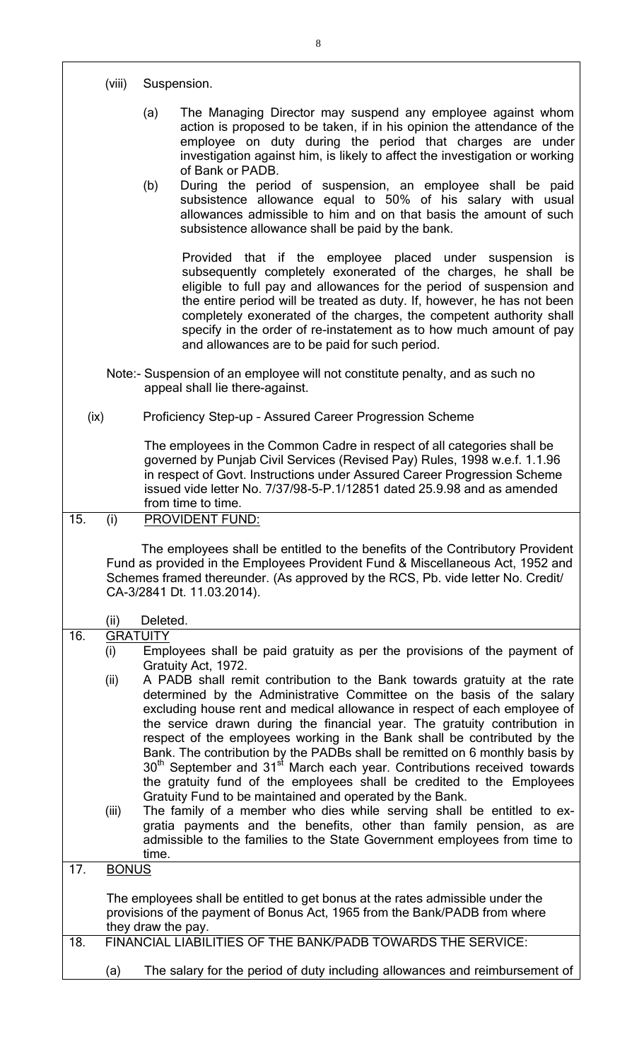|      | (viii)                 |                    | Suspension.                                                                                                                                                                                                                                                                                                                                                                                                                                                                                                                                                                                                                                                                                                    |
|------|------------------------|--------------------|----------------------------------------------------------------------------------------------------------------------------------------------------------------------------------------------------------------------------------------------------------------------------------------------------------------------------------------------------------------------------------------------------------------------------------------------------------------------------------------------------------------------------------------------------------------------------------------------------------------------------------------------------------------------------------------------------------------|
|      |                        | (a)<br>(b)         | The Managing Director may suspend any employee against whom<br>action is proposed to be taken, if in his opinion the attendance of the<br>employee on duty during the period that charges are under<br>investigation against him, is likely to affect the investigation or working<br>of Bank or PADB.<br>During the period of suspension, an employee shall be paid<br>subsistence allowance equal to 50% of his salary with usual<br>allowances admissible to him and on that basis the amount of such<br>subsistence allowance shall be paid by the bank.                                                                                                                                                   |
|      |                        |                    | Provided that if the employee placed under suspension is<br>subsequently completely exonerated of the charges, he shall be<br>eligible to full pay and allowances for the period of suspension and<br>the entire period will be treated as duty. If, however, he has not been<br>completely exonerated of the charges, the competent authority shall<br>specify in the order of re-instatement as to how much amount of pay<br>and allowances are to be paid for such period.                                                                                                                                                                                                                                  |
|      |                        |                    | Note:- Suspension of an employee will not constitute penalty, and as such no<br>appeal shall lie there-against.                                                                                                                                                                                                                                                                                                                                                                                                                                                                                                                                                                                                |
| (ix) |                        |                    | Proficiency Step-up - Assured Career Progression Scheme                                                                                                                                                                                                                                                                                                                                                                                                                                                                                                                                                                                                                                                        |
|      |                        |                    | The employees in the Common Cadre in respect of all categories shall be<br>governed by Punjab Civil Services (Revised Pay) Rules, 1998 w.e.f. 1.1.96<br>in respect of Govt. Instructions under Assured Career Progression Scheme<br>issued vide letter No. 7/37/98-5-P.1/12851 dated 25.9.98 and as amended<br>from time to time.                                                                                                                                                                                                                                                                                                                                                                              |
| 15.  | (i)                    |                    | PROVIDENT FUND:                                                                                                                                                                                                                                                                                                                                                                                                                                                                                                                                                                                                                                                                                                |
|      |                        |                    | The employees shall be entitled to the benefits of the Contributory Provident<br>Fund as provided in the Employees Provident Fund & Miscellaneous Act, 1952 and<br>Schemes framed thereunder. (As approved by the RCS, Pb. vide letter No. Credit/<br>CA-3/2841 Dt. 11.03.2014).                                                                                                                                                                                                                                                                                                                                                                                                                               |
|      | (ii)                   | Deleted.           |                                                                                                                                                                                                                                                                                                                                                                                                                                                                                                                                                                                                                                                                                                                |
| 16.  | <b>GRATUITY</b><br>(i) |                    | Employees shall be paid gratuity as per the provisions of the payment of<br>Gratuity Act, 1972.                                                                                                                                                                                                                                                                                                                                                                                                                                                                                                                                                                                                                |
|      | (ii)                   |                    | A PADB shall remit contribution to the Bank towards gratuity at the rate<br>determined by the Administrative Committee on the basis of the salary<br>excluding house rent and medical allowance in respect of each employee of<br>the service drawn during the financial year. The gratuity contribution in<br>respect of the employees working in the Bank shall be contributed by the<br>Bank. The contribution by the PADBs shall be remitted on 6 monthly basis by<br>30 <sup>th</sup> September and 31 <sup>st</sup> March each year. Contributions received towards<br>the gratuity fund of the employees shall be credited to the Employees<br>Gratuity Fund to be maintained and operated by the Bank. |
|      | (iii)                  | time.              | The family of a member who dies while serving shall be entitled to ex-<br>gratia payments and the benefits, other than family pension, as are<br>admissible to the families to the State Government employees from time to                                                                                                                                                                                                                                                                                                                                                                                                                                                                                     |
| 17.  | <b>BONUS</b>           |                    |                                                                                                                                                                                                                                                                                                                                                                                                                                                                                                                                                                                                                                                                                                                |
|      |                        | they draw the pay. | The employees shall be entitled to get bonus at the rates admissible under the<br>provisions of the payment of Bonus Act, 1965 from the Bank/PADB from where                                                                                                                                                                                                                                                                                                                                                                                                                                                                                                                                                   |
| 18.  |                        |                    | FINANCIAL LIABILITIES OF THE BANK/PADB TOWARDS THE SERVICE:                                                                                                                                                                                                                                                                                                                                                                                                                                                                                                                                                                                                                                                    |
|      | (a)                    |                    | The salary for the period of duty including allowances and reimbursement of                                                                                                                                                                                                                                                                                                                                                                                                                                                                                                                                                                                                                                    |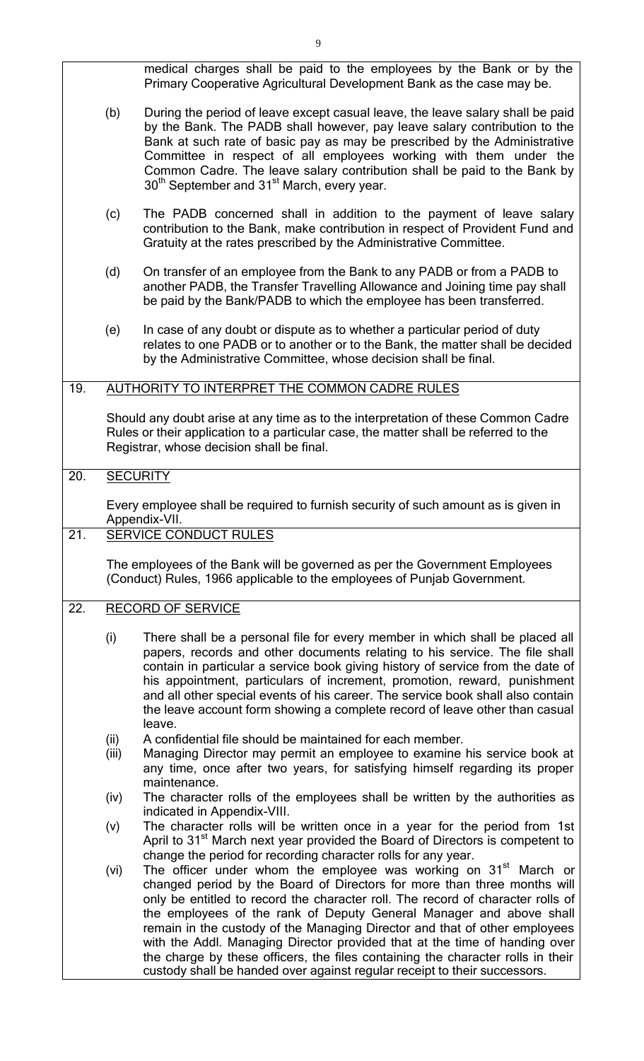|     |                 | medical charges shall be paid to the employees by the Bank or by the<br>Primary Cooperative Agricultural Development Bank as the case may be.                                                                                                                                                                                                                                                                                                                                                                                                                                                                                                  |  |  |  |
|-----|-----------------|------------------------------------------------------------------------------------------------------------------------------------------------------------------------------------------------------------------------------------------------------------------------------------------------------------------------------------------------------------------------------------------------------------------------------------------------------------------------------------------------------------------------------------------------------------------------------------------------------------------------------------------------|--|--|--|
|     | (b)             | During the period of leave except casual leave, the leave salary shall be paid<br>by the Bank. The PADB shall however, pay leave salary contribution to the<br>Bank at such rate of basic pay as may be prescribed by the Administrative<br>Committee in respect of all employees working with them under the<br>Common Cadre. The leave salary contribution shall be paid to the Bank by<br>30 <sup>th</sup> September and 31 <sup>st</sup> March, every year.                                                                                                                                                                                |  |  |  |
|     | (c)             | The PADB concerned shall in addition to the payment of leave salary<br>contribution to the Bank, make contribution in respect of Provident Fund and<br>Gratuity at the rates prescribed by the Administrative Committee.                                                                                                                                                                                                                                                                                                                                                                                                                       |  |  |  |
|     | (d)             | On transfer of an employee from the Bank to any PADB or from a PADB to<br>another PADB, the Transfer Travelling Allowance and Joining time pay shall<br>be paid by the Bank/PADB to which the employee has been transferred.                                                                                                                                                                                                                                                                                                                                                                                                                   |  |  |  |
|     | (e)             | In case of any doubt or dispute as to whether a particular period of duty<br>relates to one PADB or to another or to the Bank, the matter shall be decided<br>by the Administrative Committee, whose decision shall be final.                                                                                                                                                                                                                                                                                                                                                                                                                  |  |  |  |
| 19. |                 | AUTHORITY TO INTERPRET THE COMMON CADRE RULES                                                                                                                                                                                                                                                                                                                                                                                                                                                                                                                                                                                                  |  |  |  |
|     |                 | Should any doubt arise at any time as to the interpretation of these Common Cadre<br>Rules or their application to a particular case, the matter shall be referred to the<br>Registrar, whose decision shall be final.                                                                                                                                                                                                                                                                                                                                                                                                                         |  |  |  |
| 20. | <b>SECURITY</b> |                                                                                                                                                                                                                                                                                                                                                                                                                                                                                                                                                                                                                                                |  |  |  |
|     |                 | Every employee shall be required to furnish security of such amount as is given in<br>Appendix-VII.                                                                                                                                                                                                                                                                                                                                                                                                                                                                                                                                            |  |  |  |
| 21. |                 | <b>SERVICE CONDUCT RULES</b>                                                                                                                                                                                                                                                                                                                                                                                                                                                                                                                                                                                                                   |  |  |  |
|     |                 | The employees of the Bank will be governed as per the Government Employees<br>(Conduct) Rules, 1966 applicable to the employees of Punjab Government.                                                                                                                                                                                                                                                                                                                                                                                                                                                                                          |  |  |  |
| 22. |                 | <b>RECORD OF SERVICE</b>                                                                                                                                                                                                                                                                                                                                                                                                                                                                                                                                                                                                                       |  |  |  |
|     | (i)             | There shall be a personal file for every member in which shall be placed all<br>papers, records and other documents relating to his service. The file shall<br>contain in particular a service book giving history of service from the date of<br>his appointment, particulars of increment, promotion, reward, punishment<br>and all other special events of his career. The service book shall also contain<br>the leave account form showing a complete record of leave other than casual<br>leave.                                                                                                                                         |  |  |  |
|     | (ii)<br>(iii)   | A confidential file should be maintained for each member.<br>Managing Director may permit an employee to examine his service book at<br>any time, once after two years, for satisfying himself regarding its proper<br>maintenance.                                                                                                                                                                                                                                                                                                                                                                                                            |  |  |  |
|     | (iv)            | The character rolls of the employees shall be written by the authorities as<br>indicated in Appendix-VIII.                                                                                                                                                                                                                                                                                                                                                                                                                                                                                                                                     |  |  |  |
|     | (v)             | The character rolls will be written once in a year for the period from 1st<br>April to 31 <sup>st</sup> March next year provided the Board of Directors is competent to<br>change the period for recording character rolls for any year.                                                                                                                                                                                                                                                                                                                                                                                                       |  |  |  |
|     | (vi)            | The officer under whom the employee was working on 31 <sup>st</sup> March or<br>changed period by the Board of Directors for more than three months will<br>only be entitled to record the character roll. The record of character rolls of<br>the employees of the rank of Deputy General Manager and above shall<br>remain in the custody of the Managing Director and that of other employees<br>with the Addl. Managing Director provided that at the time of handing over<br>the charge by these officers, the files containing the character rolls in their<br>custody shall be handed over against regular receipt to their successors. |  |  |  |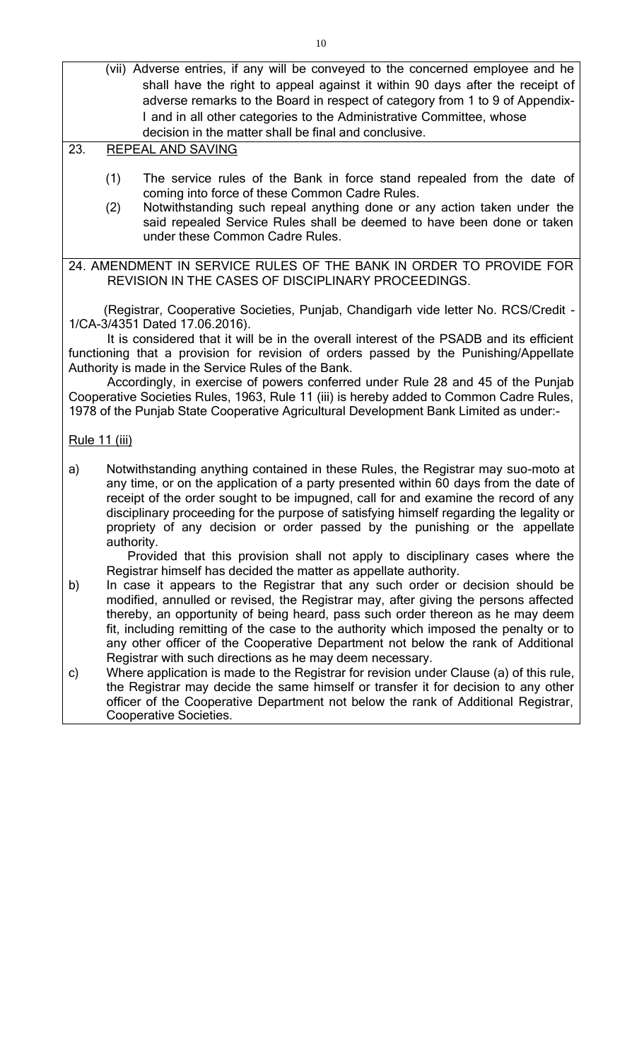- (vii) Adverse entries, if any will be conveyed to the concerned employee and he shall have the right to appeal against it within 90 days after the receipt of adverse remarks to the Board in respect of category from 1 to 9 of Appendix-I and in all other categories to the Administrative Committee, whose decision in the matter shall be final and conclusive.
- 23. REPEAL AND SAVING
	- (1) The service rules of the Bank in force stand repealed from the date of coming into force of these Common Cadre Rules.
	- (2) Notwithstanding such repeal anything done or any action taken under the said repealed Service Rules shall be deemed to have been done or taken under these Common Cadre Rules.

24. AMENDMENT IN SERVICE RULES OF THE BANK IN ORDER TO PROVIDE FOR REVISION IN THE CASES OF DISCIPLINARY PROCEEDINGS.

(Registrar, Cooperative Societies, Punjab, Chandigarh vide letter No. RCS/Credit - 1/CA-3/4351 Dated 17.06.2016).

It is considered that it will be in the overall interest of the PSADB and its efficient functioning that a provision for revision of orders passed by the Punishing/Appellate Authority is made in the Service Rules of the Bank.

Accordingly, in exercise of powers conferred under Rule 28 and 45 of the Punjab Cooperative Societies Rules, 1963, Rule 11 (iii) is hereby added to Common Cadre Rules, 1978 of the Punjab State Cooperative Agricultural Development Bank Limited as under:-

Rule 11 (iii)

a) Notwithstanding anything contained in these Rules, the Registrar may suo-moto at any time, or on the application of a party presented within 60 days from the date of receipt of the order sought to be impugned, call for and examine the record of any disciplinary proceeding for the purpose of satisfying himself regarding the legality or propriety of any decision or order passed by the punishing or the appellate authority.

Provided that this provision shall not apply to disciplinary cases where the Registrar himself has decided the matter as appellate authority.

- b) In case it appears to the Registrar that any such order or decision should be modified, annulled or revised, the Registrar may, after giving the persons affected thereby, an opportunity of being heard, pass such order thereon as he may deem fit, including remitting of the case to the authority which imposed the penalty or to any other officer of the Cooperative Department not below the rank of Additional Registrar with such directions as he may deem necessary.
- c) Where application is made to the Registrar for revision under Clause (a) of this rule, the Registrar may decide the same himself or transfer it for decision to any other officer of the Cooperative Department not below the rank of Additional Registrar, Cooperative Societies.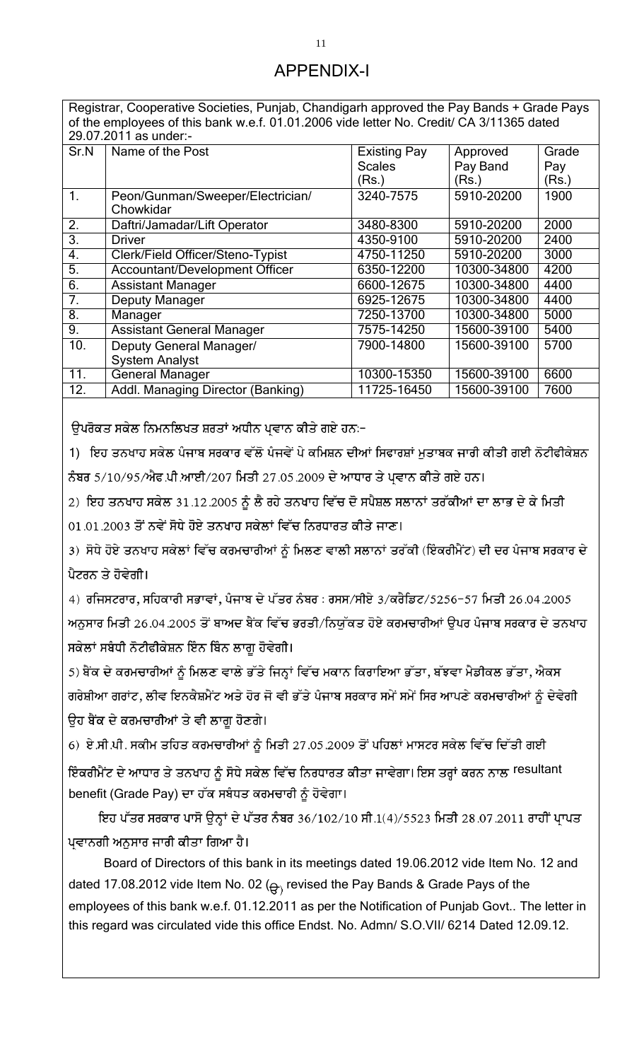# APPENDIX-I

Registrar, Cooperative Societies, Punjab, Chandigarh approved the Pay Bands + Grade Pays of the employees of this bank w.e.f. 01.01.2006 vide letter No. Credit/ CA 3/11365 dated 29.07.2011 as under:-

| Sr.N             | Name of the Post                      | <b>Existing Pay</b> | Approved    | Grade |
|------------------|---------------------------------------|---------------------|-------------|-------|
|                  |                                       | <b>Scales</b>       | Pay Band    | Pay   |
|                  |                                       | (Rs.)               | (Rs.)       | (Rs.) |
| $\mathbf{1}$ .   | Peon/Gunman/Sweeper/Electrician/      | 3240-7575           | 5910-20200  | 1900  |
|                  | Chowkidar                             |                     |             |       |
| 2.               | Daftri/Jamadar/Lift Operator          | 3480-8300           | 5910-20200  | 2000  |
| $\overline{3}$ . | <b>Driver</b>                         | 4350-9100           | 5910-20200  | 2400  |
| 4.               | Clerk/Field Officer/Steno-Typist      | 4750-11250          | 5910-20200  | 3000  |
| $\overline{5}$ . | <b>Accountant/Development Officer</b> | 6350-12200          | 10300-34800 | 4200  |
| 6.               | <b>Assistant Manager</b>              | 6600-12675          | 10300-34800 | 4400  |
| $\overline{7}$ . | <b>Deputy Manager</b>                 | 6925-12675          | 10300-34800 | 4400  |
| $\overline{8}$ . | Manager                               | 7250-13700          | 10300-34800 | 5000  |
| 9.               | <b>Assistant General Manager</b>      | 7575-14250          | 15600-39100 | 5400  |
| 10.              | Deputy General Manager/               | 7900-14800          | 15600-39100 | 5700  |
|                  | <b>System Analyst</b>                 |                     |             |       |
| 11.              | <b>General Manager</b>                | 10300-15350         | 15600-39100 | 6600  |
| 12.              | Addl. Managing Director (Banking)     | 11725-16450         | 15600-39100 | 7600  |
|                  |                                       |                     |             |       |

ਉਪਰੋਕਤ ਸਕੇਲ ਨਿਮਨਲਿਖਤ ਸ਼ਰਤਾਂ ਅਧੀਨ ਪ੍ਰਵਾਨ ਕੀਤੇ ਗਏ ਹਨ≔

1) ਇਹ ਤਨਖਾਹ ਸਕੇਲ ਪੰਜਾਬ ਸਰਕਾਰ ਵੱਲੋਂ ਪੰਜਵੇਂ ਪੇ ਕਮਿਸ਼ਨ ਦੀਆਂ ਸਿਫਾਰਸ਼ਾਂ ਮੁਤਾਬਕ ਜਾਰੀ ਕੀਤੀ ਗਈ ਨੋਟੀਫੀਕੇਸ਼ਨ ਨੰਬਰ 5/10/95/ਐਫ.ਪੀ.ਆਈ/207 ਮਿਤੀ 27.05.2009 ਦੇ ਆਧਾਰ ਤੇ ਪ੍ਰਵਾਨ ਕੀਤੇ ਗਏ ਹਨ।

2) ਇਹ ਤਨਖਾਹ ਸਕੇਲ 31.12.2005 ਨੂੰ ਲੈ ਰਹੇ ਤਨਖਾਹ ਵਿੱਚ ਦੋ ਸਪੈਸ਼ਲ ਸਲਾਨਾਂ ਤਰੱਕੀਆਂ ਦਾ ਲਾਭ ਦੇ ਕੇ ਮਿਤੀ

01.01.2003 ਤੋਂ ਨਵੇਂ ਸੋਧੇ ਹੋਏ ਤਨਖਾਹ ਸਕੇਲਾਂ ਵਿੱਚ ਨਿਰਧਾਰਤ ਕੀਤੇ ਜਾਣ।

3) ਸੋਧੇ ਹੋਏ ਤਨਖਾਹ ਸਕੇਲਾਂ ਵਿੱਚ ਕਰਮਚਾਰੀਆਂ ਨੂੰ ਮਿਲਣ ਵਾਲੀ ਸਲਾਨਾਂ ਤਰੱਕੀ (ਇੰਕਰੀਮੈਂਟ) ਦੀ ਦਰ ਪੰਜਾਬ ਸਰਕਾਰ ਦੇ ਪੈਟਰਨ ਤੇ ਹੋਵੇਗੀ।

 $4)$  ਰਜਿਸਟਰਾਰ, ਸਹਿਕਾਰੀ ਸਭਾਵਾਂ, ਪੰਜਾਬ ਦੇ ਪੱਤਰ ਨੰਬਰ : ਰਸਸ/ਸੀਏ  $3/\overline{\mathfrak{a}}$ ਰੈਡਿਟ/5256-57 ਮਿਤੀ 26.04.2005 ਅਨੁਸਾਰ ਮਿਤੀ 26.04.2005 ਤੋਂ ਬਾਅਦ ਬੈਂਕ ਵਿੱਚ ਭਰਤੀ/ਨਿਯੁੱਕਤ ਹੋਏ ਕਰਮਚਾਰੀਆਂ ਉਪਰ ਪੰਜਾਬ ਸਰਕਾਰ ਦੇ ਤਨਖਾਹ ਸਕੇਲਾਂ ਸਬੰਧੀ ਨੋਟੀਫੀਕੇਸ਼ਨ ਇੰਨ ਬਿੰਨ ਲਾਗੂ ਹੋਵੇਗੀ।

5) ਬੈਂਕ ਦੇ ਕਰਮਚਾਰੀਆਂ ਨੂੰ ਮਿਲਣ ਵਾਲੇ ਭੱਤੇ ਜਿਨ੍ਹਾਂ ਵਿੱਚ ਮਕਾਨ ਕਿਰਾਇਆ ਭੱਤਾ, ਬੱਝਵਾ ਮੈਡੀਕਲ ਭੱਤਾ, ਐਕਸ ਗਰੇਸ਼ੀਆ ਗਰਾਂਟ, ਲੀਵ ਇਨਕੈਸ਼ਮੈਂਟ ਅਤੇ ਹੋਰ ਜੋ ਵੀ ਭੱਤੇ ਪੰਜਾਬ ਸਰਕਾਰ ਸਮੇਂ ਸਮੇਂ ਸਿਰ ਆਪਣੇ ਕਰਮਚਾਰੀਆਂ ਨੂੰ ਦੇਵੇਗੀ ਉਹ ਬੈਂਕ ਦੇ ਕਰਮਚਾਰੀਆਂ ਤੇ ਵੀ ਲਾਗੂ ਹੋਣਗੇ।

6) ਏ.ਸੀ.ਪੀ. ਸਕੀਮ ਤਹਿਤ ਕਰਮਚਾਰੀਆਂ ਨੂੰ ਮਿਤੀ 27.05.2009 ਤੋਂ ਪਹਿਲਾਂ ਮਾਸਟਰ ਸਕੇਲ ਵਿੱਚ ਦਿੱਤੀ ਗਈ

ਇੰਕਰੀਮੈਂਟ ਦੇ ਆਧਾਰ ਤੇ ਤਨਖਾਹ ਨੂੰ ਸੋਧੇ ਸਕੇਲ ਵਿੱਚ ਨਿਰਧਾਰਤ ਕੀਤਾ ਜਾਵੇਗਾ। ਇਸ ਤਰ੍ਹਾਂ ਕਰਨ ਨਾਲ <sup>resultant</sup> benefit (Grade Pay) ਦਾ ਹੱਕ ਸਬੰਧਤ ਕਰਮਚਾਰੀ ਨੂੰ ਹੋਵੇਗਾ।

ਇਹ ਪੱਤਰ ਸਰਕਾਰ ਪਾਸੋ ਉਨ੍ਹਾਂ ਦੇ ਪੱਤਰ ਨੰਬਰ 36/102/10 ਸੀ.1(4)/5523 ਮਿਤੀ 28.07.2011 ਰਾਹੀਂ ਪ੍ਰਾਪਤ ਪ੍ਰਵਾਨਗੀ ਅਨੁਸਾਰ ਜਾਰੀ ਕੀਤਾ ਗਿਆ ਹੈ।

Board of Directors of this bank in its meetings dated 19.06.2012 vide Item No. 12 and dated 17.08.2012 vide Item No. 02 ( $\Theta$ ) revised the Pay Bands & Grade Pays of the employees of this bank w.e.f. 01.12.2011 as per the Notification of Punjab Govt.. The letter in this regard was circulated vide this office Endst. No. Admn/ S.O.VII/ 6214 Dated 12.09.12.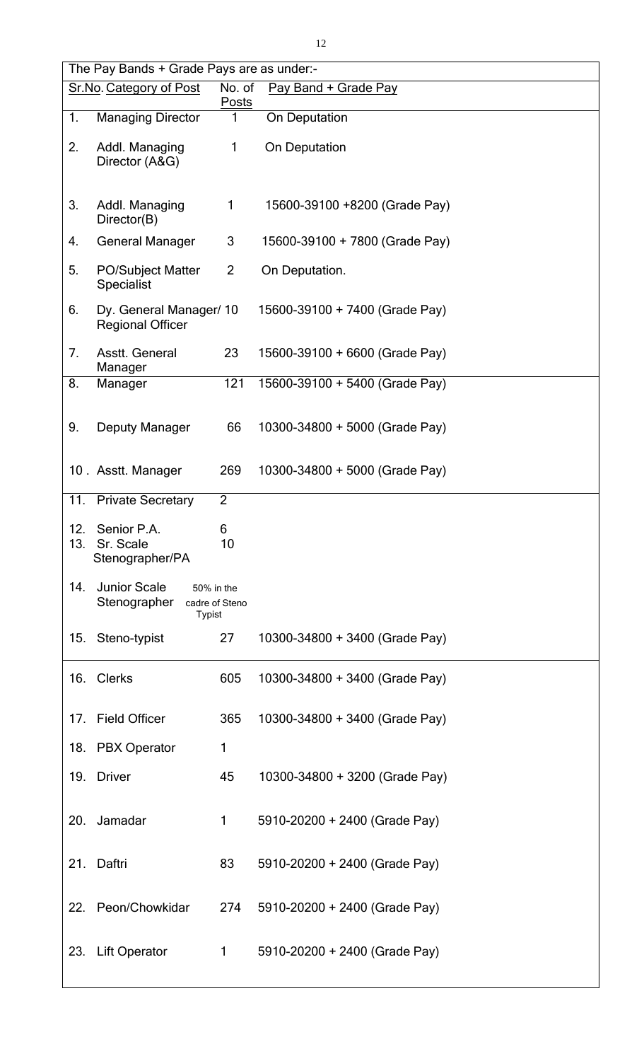|            | The Pay Bands + Grade Pays are as under:-            |                              |                                |  |
|------------|------------------------------------------------------|------------------------------|--------------------------------|--|
|            | Sr.No. Category of Post                              | No. of<br><b>Posts</b>       | Pay Band + Grade Pay           |  |
| 1.         | <b>Managing Director</b>                             | 1                            | On Deputation                  |  |
| 2.         | Addl. Managing<br>Director (A&G)                     | 1                            | On Deputation                  |  |
| 3.         | Addl. Managing<br>Director(B)                        | 1                            | 15600-39100 +8200 (Grade Pay)  |  |
| 4.         | <b>General Manager</b>                               | 3                            | 15600-39100 + 7800 (Grade Pay) |  |
| 5.         | <b>PO/Subject Matter</b><br><b>Specialist</b>        | $\overline{2}$               | On Deputation.                 |  |
| 6.         | Dy. General Manager/ 10<br><b>Regional Officer</b>   |                              | 15600-39100 + 7400 (Grade Pay) |  |
| 7.         | Asstt. General<br>Manager                            | 23                           | 15600-39100 + 6600 (Grade Pay) |  |
| 8.         | Manager                                              | 121                          | 15600-39100 + 5400 (Grade Pay) |  |
| 9.         | Deputy Manager                                       | 66                           | 10300-34800 + 5000 (Grade Pay) |  |
|            | 10. Asstt. Manager                                   | 269                          | 10300-34800 + 5000 (Grade Pay) |  |
| 11.        | <b>Private Secretary</b>                             | $\overline{2}$               |                                |  |
| 12.<br>13. | Senior P.A.<br>Sr. Scale<br>Stenographer/PA          | 6<br>10                      |                                |  |
| 14.        | <b>Junior Scale</b><br>Stenographer<br><b>Typist</b> | 50% in the<br>cadre of Steno |                                |  |
|            | 15. Steno-typist                                     | 27                           | 10300-34800 + 3400 (Grade Pay) |  |
|            | 16. Clerks                                           | 605                          | 10300-34800 + 3400 (Grade Pay) |  |
| 17.        | <b>Field Officer</b>                                 | 365                          | 10300-34800 + 3400 (Grade Pay) |  |
|            | 18. PBX Operator                                     | 1                            |                                |  |
| 19.        | <b>Driver</b>                                        | 45                           | 10300-34800 + 3200 (Grade Pay) |  |
| 20.        | Jamadar                                              | 1                            | 5910-20200 + 2400 (Grade Pay)  |  |
| 21.        | Daftri                                               | 83                           | 5910-20200 + 2400 (Grade Pay)  |  |
|            | 22. Peon/Chowkidar                                   | 274                          | 5910-20200 + 2400 (Grade Pay)  |  |
| 23.        | <b>Lift Operator</b>                                 | 1                            | 5910-20200 + 2400 (Grade Pay)  |  |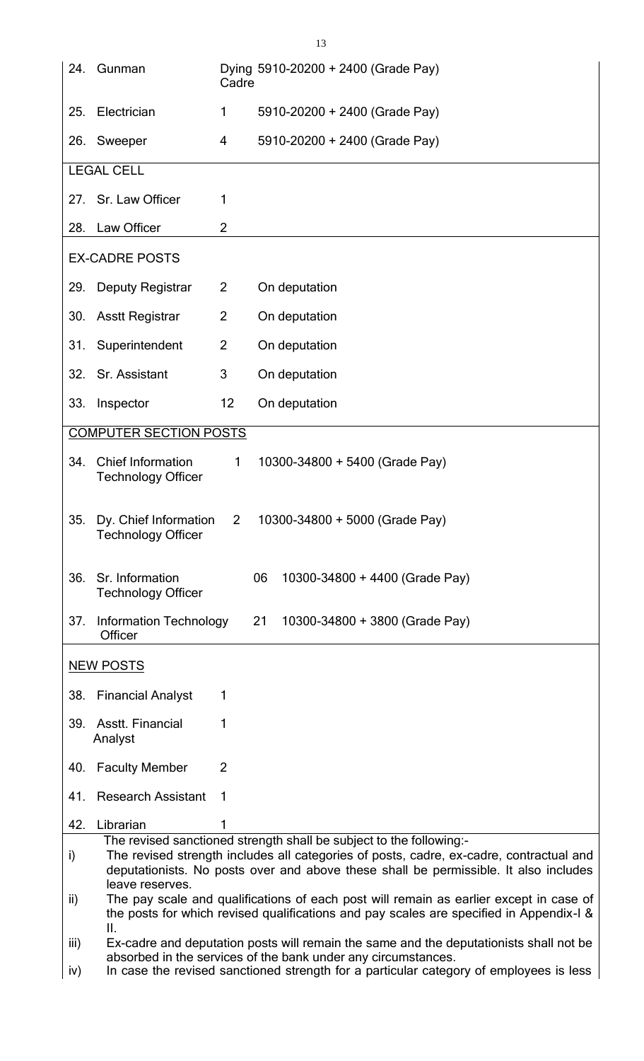|      | 24. Gunman                                                                                                                                                                                                                                             | Cadre          | Dying 5910-20200 + 2400 (Grade Pay)                                                                                                                     |  |
|------|--------------------------------------------------------------------------------------------------------------------------------------------------------------------------------------------------------------------------------------------------------|----------------|---------------------------------------------------------------------------------------------------------------------------------------------------------|--|
| 25.  | Electrician                                                                                                                                                                                                                                            | 1              | 5910-20200 + 2400 (Grade Pay)                                                                                                                           |  |
|      | 26. Sweeper                                                                                                                                                                                                                                            | 4              | 5910-20200 + 2400 (Grade Pay)                                                                                                                           |  |
|      | <b>LEGAL CELL</b>                                                                                                                                                                                                                                      |                |                                                                                                                                                         |  |
|      | 27. Sr. Law Officer                                                                                                                                                                                                                                    | 1              |                                                                                                                                                         |  |
| 28.  | Law Officer                                                                                                                                                                                                                                            | $\overline{2}$ |                                                                                                                                                         |  |
|      | <b>EX-CADRE POSTS</b>                                                                                                                                                                                                                                  |                |                                                                                                                                                         |  |
| 29.  | <b>Deputy Registrar</b>                                                                                                                                                                                                                                | $\overline{2}$ | On deputation                                                                                                                                           |  |
| 30.  | <b>Asstt Registrar</b>                                                                                                                                                                                                                                 | $\overline{2}$ | On deputation                                                                                                                                           |  |
| 31.  | Superintendent                                                                                                                                                                                                                                         | $\overline{2}$ | On deputation                                                                                                                                           |  |
| 32.  | Sr. Assistant                                                                                                                                                                                                                                          | 3              | On deputation                                                                                                                                           |  |
| 33.  | Inspector                                                                                                                                                                                                                                              | 12             | On deputation                                                                                                                                           |  |
|      | <b>COMPUTER SECTION POSTS</b>                                                                                                                                                                                                                          |                |                                                                                                                                                         |  |
| 34.  | <b>Chief Information</b><br><b>Technology Officer</b>                                                                                                                                                                                                  | $\mathbf{1}$   | 10300-34800 + 5400 (Grade Pay)                                                                                                                          |  |
| 35.  | Dy. Chief Information<br>Technology Officer                                                                                                                                                                                                            | $\overline{2}$ | 10300-34800 + 5000 (Grade Pay)                                                                                                                          |  |
| 36.  | Sr. Information<br><b>Technology Officer</b>                                                                                                                                                                                                           |                | 06<br>10300-34800 + 4400 (Grade Pay)                                                                                                                    |  |
| 37.  | <b>Information Technology</b><br>Officer                                                                                                                                                                                                               |                | 21<br>10300-34800 + 3800 (Grade Pay)                                                                                                                    |  |
|      | <b>NEW POSTS</b>                                                                                                                                                                                                                                       |                |                                                                                                                                                         |  |
| 38.  | <b>Financial Analyst</b>                                                                                                                                                                                                                               | 1              |                                                                                                                                                         |  |
|      | 39. Asstt. Financial<br>Analyst                                                                                                                                                                                                                        | 1              |                                                                                                                                                         |  |
| 40.  | <b>Faculty Member</b>                                                                                                                                                                                                                                  | $\overline{2}$ |                                                                                                                                                         |  |
| 41.  | <b>Research Assistant</b>                                                                                                                                                                                                                              | 1              |                                                                                                                                                         |  |
| 42.  | Librarian                                                                                                                                                                                                                                              | 1              |                                                                                                                                                         |  |
| i)   | The revised sanctioned strength shall be subject to the following:-<br>The revised strength includes all categories of posts, cadre, ex-cadre, contractual and<br>deputationists. No posts over and above these shall be permissible. It also includes |                |                                                                                                                                                         |  |
| ii)  | leave reserves.<br>The pay scale and qualifications of each post will remain as earlier except in case of<br>the posts for which revised qualifications and pay scales are specified in Appendix-I &<br>II.                                            |                |                                                                                                                                                         |  |
| iii) |                                                                                                                                                                                                                                                        |                | Ex-cadre and deputation posts will remain the same and the deputationists shall not be<br>absorbed in the services of the bank under any circumstances. |  |
| iv)  |                                                                                                                                                                                                                                                        |                | In case the revised sanctioned strength for a particular category of employees is less                                                                  |  |

13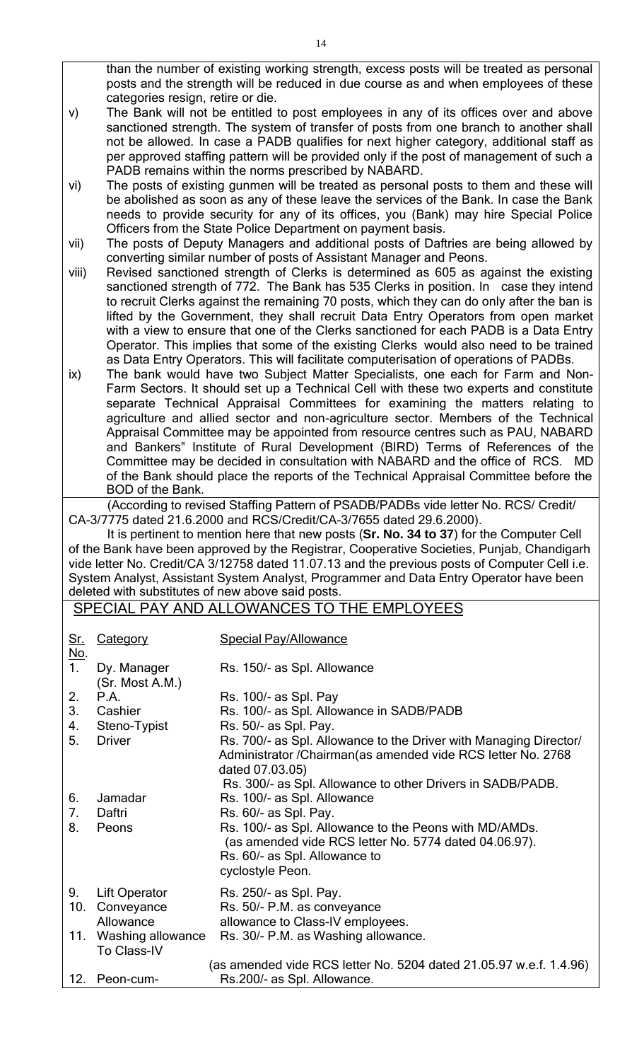than the number of existing working strength, excess posts will be treated as personal posts and the strength will be reduced in due course as and when employees of these categories resign, retire or die.

- v) The Bank will not be entitled to post employees in any of its offices over and above sanctioned strength. The system of transfer of posts from one branch to another shall not be allowed. In case a PADB qualifies for next higher category, additional staff as per approved staffing pattern will be provided only if the post of management of such a PADB remains within the norms prescribed by NABARD.
- vi) The posts of existing gunmen will be treated as personal posts to them and these will be abolished as soon as any of these leave the services of the Bank. In case the Bank needs to provide security for any of its offices, you (Bank) may hire Special Police Officers from the State Police Department on payment basis.
- vii) The posts of Deputy Managers and additional posts of Daftries are being allowed by converting similar number of posts of Assistant Manager and Peons.
- viii) Revised sanctioned strength of Clerks is determined as 605 as against the existing sanctioned strength of 772. The Bank has 535 Clerks in position. In case they intend to recruit Clerks against the remaining 70 posts, which they can do only after the ban is lifted by the Government, they shall recruit Data Entry Operators from open market with a view to ensure that one of the Clerks sanctioned for each PADB is a Data Entry Operator. This implies that some of the existing Clerks would also need to be trained as Data Entry Operators. This will facilitate computerisation of operations of PADBs.
- ix) The bank would have two Subject Matter Specialists, one each for Farm and Non-Farm Sectors. It should set up a Technical Cell with these two experts and constitute separate Technical Appraisal Committees for examining the matters relating to agriculture and allied sector and non-agriculture sector. Members of the Technical Appraisal Committee may be appointed from resource centres such as PAU, NABARD and Bankers" Institute of Rural Development (BIRD) Terms of References of the Committee may be decided in consultation with NABARD and the office of RCS. MD of the Bank should place the reports of the Technical Appraisal Committee before the BOD of the Bank.

(According to revised Staffing Pattern of PSADB/PADBs vide letter No. RCS/ Credit/ CA-3/7775 dated 21.6.2000 and RCS/Credit/CA-3/7655 dated 29.6.2000).

It is pertinent to mention here that new posts (**Sr. No. 34 to 37**) for the Computer Cell of the Bank have been approved by the Registrar, Cooperative Societies, Punjab, Chandigarh vide letter No. Credit/CA 3/12758 dated 11.07.13 and the previous posts of Computer Cell i.e. System Analyst, Assistant System Analyst, Programmer and Data Entry Operator have been deleted with substitutes of new above said posts.

#### SPECIAL PAY AND ALLOWANCES TO THE EMPLOYEES

| <u>Sr.</u>            | Category                                    | <b>Special Pay/Allowance</b>                                                                                                                                         |
|-----------------------|---------------------------------------------|----------------------------------------------------------------------------------------------------------------------------------------------------------------------|
| $rac{\text{No}}{1}$ . | Dy. Manager<br>(Sr. Most A.M.)              | Rs. 150/- as Spl. Allowance                                                                                                                                          |
| 2.                    | P.A.                                        | Rs. 100/- as Spl. Pay                                                                                                                                                |
| 3 <sub>1</sub>        | Cashier                                     | Rs. 100/- as Spl. Allowance in SADB/PADB                                                                                                                             |
| 4.                    | Steno-Typist                                | Rs. 50/- as Spl. Pay.                                                                                                                                                |
| 5.                    | <b>Driver</b>                               | Rs. 700/- as Spl. Allowance to the Driver with Managing Director/<br>Administrator / Chairman (as amended vide RCS letter No. 2768<br>dated 07.03.05)                |
|                       |                                             | Rs. 300/- as Spl. Allowance to other Drivers in SADB/PADB.                                                                                                           |
| 6.                    | Jamadar                                     | Rs. 100/- as Spl. Allowance                                                                                                                                          |
| 7.                    | Daftri                                      | Rs. 60/- as Spl. Pay.                                                                                                                                                |
| 8.                    | Peons                                       | Rs. 100/- as Spl. Allowance to the Peons with MD/AMDs.<br>(as amended vide RCS letter No. 5774 dated 04.06.97).<br>Rs. 60/- as Spl. Allowance to<br>cyclostyle Peon. |
| 9.                    | Lift Operator                               | Rs. 250/- as Spl. Pay.                                                                                                                                               |
| 10.                   | Conveyance<br>Allowance                     | Rs. 50/- P.M. as conveyance<br>allowance to Class-IV employees.                                                                                                      |
|                       | 11. Washing allowance<br><b>To Class-IV</b> | Rs. 30/- P.M. as Washing allowance.                                                                                                                                  |
| 12.                   | Peon-cum-                                   | (as amended vide RCS letter No. 5204 dated $21.05.97$ w.e.f. 1.4.96)<br>Rs.200/- as Spl. Allowance.                                                                  |
|                       |                                             |                                                                                                                                                                      |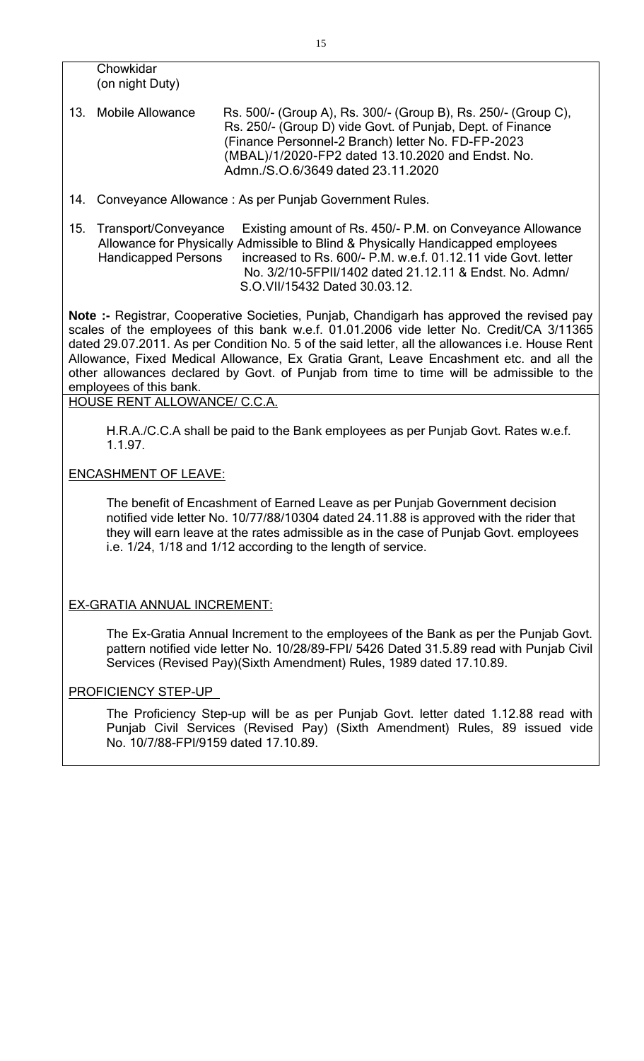**Chowkidar** (on night Duty)

- 13. Mobile Allowance Rs. 500/- (Group A), Rs. 300/- (Group B), Rs. 250/- (Group C), Rs. 250/- (Group D) vide Govt. of Punjab, Dept. of Finance (Finance Personnel-2 Branch) letter No. FD-FP-2023 (MBAL)/1/2020-FP2 dated 13.10.2020 and Endst. No. Admn./S.O.6/3649 dated 23.11.2020
- 14. Conveyance Allowance : As per Punjab Government Rules.
- 15. Transport/Conveyance Existing amount of Rs. 450/- P.M. on Conveyance Allowance Allowance for Physically Admissible to Blind & Physically Handicapped employees Handicapped Persons increased to Rs. 600/- P.M. w.e.f. 01.12.11 vide Govt. letter No. 3/2/10-5FPII/1402 dated 21.12.11 & Endst. No. Admn/ S.O.VII/15432 Dated 30.03.12.

**Note :-** Registrar, Cooperative Societies, Punjab, Chandigarh has approved the revised pay scales of the employees of this bank w.e.f. 01.01.2006 vide letter No. Credit/CA 3/11365 dated 29.07.2011. As per Condition No. 5 of the said letter, all the allowances i.e. House Rent Allowance, Fixed Medical Allowance, Ex Gratia Grant, Leave Encashment etc. and all the other allowances declared by Govt. of Punjab from time to time will be admissible to the employees of this bank.

HOUSE RENT ALLOWANCE/ C.C.A.

H.R.A./C.C.A shall be paid to the Bank employees as per Punjab Govt. Rates w.e.f. 1.1.97.

### ENCASHMENT OF LEAVE:

The benefit of Encashment of Earned Leave as per Punjab Government decision notified vide letter No. 10/77/88/10304 dated 24.11.88 is approved with the rider that they will earn leave at the rates admissible as in the case of Punjab Govt. employees i.e. 1/24, 1/18 and 1/12 according to the length of service.

#### EX-GRATIA ANNUAL INCREMENT:

The Ex-Gratia Annual Increment to the employees of the Bank as per the Punjab Govt. pattern notified vide letter No. 10/28/89-FPI/ 5426 Dated 31.5.89 read with Punjab Civil Services (Revised Pay)(Sixth Amendment) Rules, 1989 dated 17.10.89.

#### PROFICIENCY STEP-UP

The Proficiency Step-up will be as per Punjab Govt. letter dated 1.12.88 read with Punjab Civil Services (Revised Pay) (Sixth Amendment) Rules, 89 issued vide No. 10/7/88-FPI/9159 dated 17.10.89.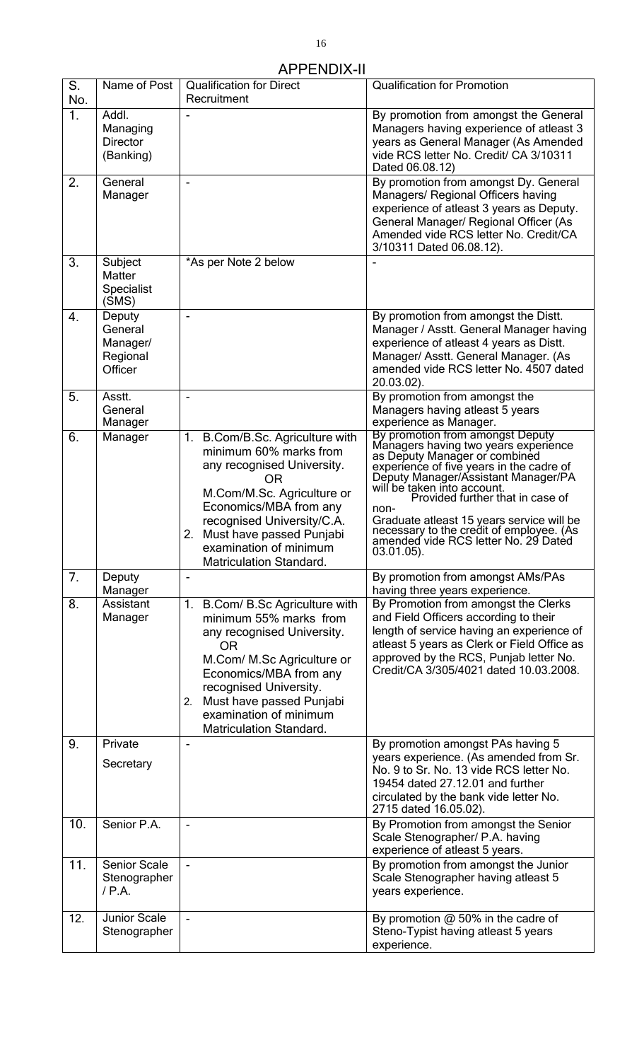#### APPENDIX-II

| S.<br>No.      | Name of Post                                         | <b>Qualification for Direct</b><br>Recruitment                                                                                                                                                                                                                                   | <b>Qualification for Promotion</b>                                                                                                                                                                                                                                                                                                                                                                                        |
|----------------|------------------------------------------------------|----------------------------------------------------------------------------------------------------------------------------------------------------------------------------------------------------------------------------------------------------------------------------------|---------------------------------------------------------------------------------------------------------------------------------------------------------------------------------------------------------------------------------------------------------------------------------------------------------------------------------------------------------------------------------------------------------------------------|
| 1 <sub>1</sub> | Addl.<br>Managing<br><b>Director</b><br>(Banking)    |                                                                                                                                                                                                                                                                                  | By promotion from amongst the General<br>Managers having experience of atleast 3<br>years as General Manager (As Amended<br>vide RCS letter No. Credit/ CA 3/10311<br>Dated 06.08.12)                                                                                                                                                                                                                                     |
| 2.             | General<br>Manager                                   |                                                                                                                                                                                                                                                                                  | By promotion from amongst Dy. General<br>Managers/ Regional Officers having<br>experience of atleast 3 years as Deputy.<br>General Manager/ Regional Officer (As<br>Amended vide RCS letter No. Credit/CA<br>3/10311 Dated 06.08.12).                                                                                                                                                                                     |
| 3.             | Subject<br>Matter<br><b>Specialist</b><br>(SMS)      | *As per Note 2 below                                                                                                                                                                                                                                                             |                                                                                                                                                                                                                                                                                                                                                                                                                           |
| 4.             | Deputy<br>General<br>Manager/<br>Regional<br>Officer | $\overline{a}$                                                                                                                                                                                                                                                                   | By promotion from amongst the Distt.<br>Manager / Asstt. General Manager having<br>experience of atleast 4 years as Distt.<br>Manager/ Asstt. General Manager. (As<br>amended vide RCS letter No. 4507 dated<br>20.03.02).                                                                                                                                                                                                |
| 5.             | Asstt.<br>General<br>Manager                         |                                                                                                                                                                                                                                                                                  | By promotion from amongst the<br>Managers having atleast 5 years<br>experience as Manager.                                                                                                                                                                                                                                                                                                                                |
| 6.             | Manager                                              | 1. B.Com/B.Sc. Agriculture with<br>minimum 60% marks from<br>any recognised University.<br>0R<br>M.Com/M.Sc. Agriculture or<br>Economics/MBA from any<br>recognised University/C.A.<br>2. Must have passed Punjabi<br>examination of minimum<br><b>Matriculation Standard.</b>   | By promotion from amongst Deputy<br>Managers having two years experience<br>as Deputy Manager or combined<br>experience of five years in the cadre of<br>Deputy Manager/Assistant Manager/PA<br>will be taken into account.<br>Provided further that in case of<br>non-<br>Graduate atleast 15 years service will be<br>necessary to the credit of employee. (As<br>amended vide RCS letter No. 29 Dated<br>$03.01.05$ ). |
| 7.             | Deputy<br>Manager                                    |                                                                                                                                                                                                                                                                                  | By promotion from amongst AMs/PAs<br>having three years experience.                                                                                                                                                                                                                                                                                                                                                       |
| 8.             | Assistant<br>Manager                                 | B.Com/ B.Sc Agriculture with<br>1.<br>minimum 55% marks from<br>any recognised University.<br><b>OR</b><br>M.Com/ M.Sc Agriculture or<br>Economics/MBA from any<br>recognised University.<br>Must have passed Punjabi<br>2.<br>examination of minimum<br>Matriculation Standard. | By Promotion from amongst the Clerks<br>and Field Officers according to their<br>length of service having an experience of<br>atleast 5 years as Clerk or Field Office as<br>approved by the RCS, Punjab letter No.<br>Credit/CA 3/305/4021 dated 10.03.2008.                                                                                                                                                             |
| 9.             | Private<br>Secretary                                 |                                                                                                                                                                                                                                                                                  | By promotion amongst PAs having 5<br>years experience. (As amended from Sr.<br>No. 9 to Sr. No. 13 vide RCS letter No.<br>19454 dated 27,12.01 and further<br>circulated by the bank vide letter No.<br>2715 dated 16.05.02).                                                                                                                                                                                             |
| 10.            | Senior P.A.                                          |                                                                                                                                                                                                                                                                                  | By Promotion from amongst the Senior<br>Scale Stenographer/ P.A. having<br>experience of atleast 5 years.                                                                                                                                                                                                                                                                                                                 |
| 11.            | <b>Senior Scale</b><br>Stenographer<br>$/$ P.A.      |                                                                                                                                                                                                                                                                                  | By promotion from amongst the Junior<br>Scale Stenographer having atleast 5<br>years experience.                                                                                                                                                                                                                                                                                                                          |
| 12.            | <b>Junior Scale</b><br>Stenographer                  |                                                                                                                                                                                                                                                                                  | By promotion $@$ 50% in the cadre of<br>Steno-Typist having atleast 5 years<br>experience.                                                                                                                                                                                                                                                                                                                                |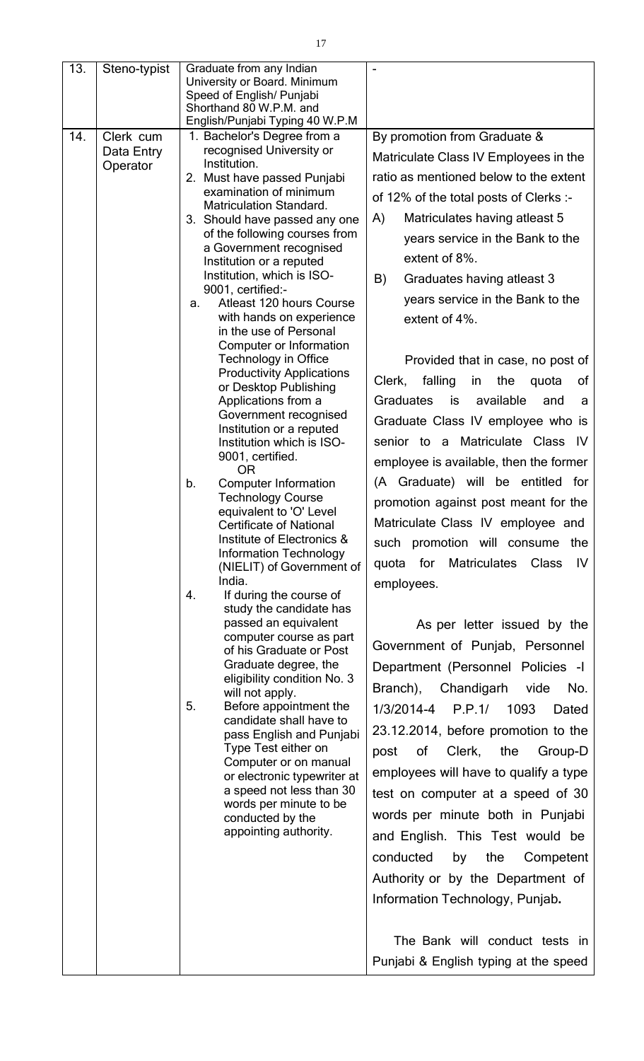| 13. | Steno-typist           | Graduate from any Indian<br>University or Board. Minimum<br>Speed of English/ Punjabi<br>Shorthand 80 W.P.M. and |                                                     |
|-----|------------------------|------------------------------------------------------------------------------------------------------------------|-----------------------------------------------------|
|     |                        | English/Punjabi Typing 40 W.P.M                                                                                  |                                                     |
| 14. | Clerk cum              | 1. Bachelor's Degree from a                                                                                      | By promotion from Graduate &                        |
|     | Data Entry<br>Operator | recognised University or<br>Institution.                                                                         | Matriculate Class IV Employees in the               |
|     |                        | 2. Must have passed Punjabi                                                                                      | ratio as mentioned below to the extent              |
|     |                        | examination of minimum                                                                                           | of 12% of the total posts of Clerks :-              |
|     |                        | <b>Matriculation Standard.</b>                                                                                   |                                                     |
|     |                        | 3. Should have passed any one                                                                                    | A)<br>Matriculates having atleast 5                 |
|     |                        | of the following courses from<br>a Government recognised                                                         | years service in the Bank to the                    |
|     |                        | Institution or a reputed                                                                                         | extent of 8%.                                       |
|     |                        | Institution, which is ISO-                                                                                       | B)<br>Graduates having atleast 3                    |
|     |                        | 9001, certified:-                                                                                                | years service in the Bank to the                    |
|     |                        | Atleast 120 hours Course<br>a.<br>with hands on experience                                                       |                                                     |
|     |                        | in the use of Personal                                                                                           | extent of 4%.                                       |
|     |                        | Computer or Information                                                                                          |                                                     |
|     |                        | <b>Technology in Office</b>                                                                                      | Provided that in case, no post of                   |
|     |                        | <b>Productivity Applications</b>                                                                                 | falling<br>Clerk,<br>the<br>of<br>in<br>quota       |
|     |                        | or Desktop Publishing<br>Applications from a                                                                     | available<br><b>Graduates</b><br>is<br>and<br>a     |
|     |                        | Government recognised                                                                                            |                                                     |
|     |                        | Institution or a reputed                                                                                         | Graduate Class IV employee who is                   |
|     |                        | Institution which is ISO-                                                                                        | senior to a Matriculate Class<br>-IV                |
|     |                        | 9001, certified.<br><b>OR</b>                                                                                    | employee is available, then the former              |
|     |                        | <b>Computer Information</b><br>b.                                                                                | (A Graduate) will be entitled for                   |
|     |                        | <b>Technology Course</b>                                                                                         | promotion against post meant for the                |
|     |                        | equivalent to 'O' Level<br><b>Certificate of National</b>                                                        | Matriculate Class IV employee and                   |
|     |                        | Institute of Electronics &                                                                                       |                                                     |
|     |                        | <b>Information Technology</b>                                                                                    | such promotion will consume<br>the                  |
|     |                        | (NIELIT) of Government of                                                                                        | for<br>Matriculates<br><b>Class</b><br>IV.<br>quota |
|     |                        | India.<br>If during the course of<br>4.                                                                          | employees.                                          |
|     |                        | study the candidate has                                                                                          |                                                     |
|     |                        | passed an equivalent                                                                                             | As per letter issued by the                         |
|     |                        | computer course as part                                                                                          | Government of Punjab, Personnel                     |
|     |                        | of his Graduate or Post<br>Graduate degree, the                                                                  | Department (Personnel Policies -I                   |
|     |                        | eligibility condition No. 3                                                                                      |                                                     |
|     |                        | will not apply.                                                                                                  | Branch), Chandigarh<br>vide<br>No.                  |
|     |                        | 5.<br>Before appointment the<br>candidate shall have to                                                          | 1/3/2014-4 P.P.1/ 1093<br>Dated                     |
|     |                        | pass English and Punjabi                                                                                         | 23.12.2014, before promotion to the                 |
|     |                        | Type Test either on                                                                                              | Clerk,<br>0f<br>the<br>Group-D<br>post              |
|     |                        | Computer or on manual                                                                                            |                                                     |
|     |                        | or electronic typewriter at<br>a speed not less than 30                                                          | employees will have to qualify a type               |
|     |                        | words per minute to be                                                                                           | test on computer at a speed of 30                   |
|     |                        | conducted by the                                                                                                 | words per minute both in Punjabi                    |
|     |                        | appointing authority.                                                                                            | and English. This Test would be                     |
|     |                        |                                                                                                                  | conducted<br>by<br>the<br>Competent                 |
|     |                        |                                                                                                                  |                                                     |
|     |                        |                                                                                                                  | Authority or by the Department of                   |
|     |                        |                                                                                                                  | Information Technology, Punjab.                     |
|     |                        |                                                                                                                  |                                                     |
|     |                        |                                                                                                                  | The Bank will conduct tests in                      |
|     |                        |                                                                                                                  | Punjabi & English typing at the speed               |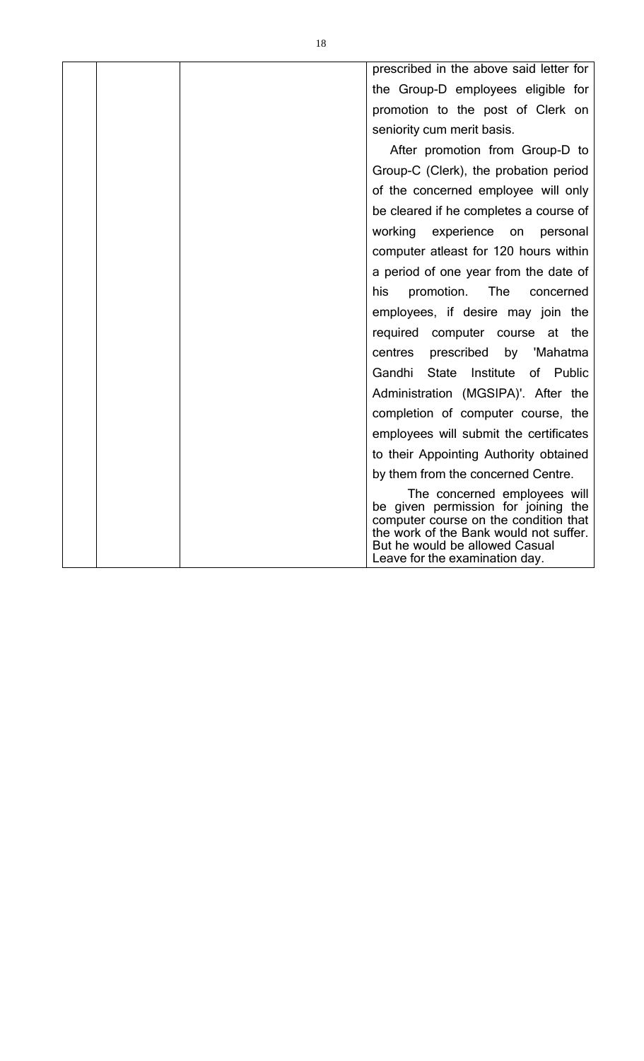| prescribed in the above said letter for                                                                                                                                                                                    |
|----------------------------------------------------------------------------------------------------------------------------------------------------------------------------------------------------------------------------|
| the Group-D employees eligible for                                                                                                                                                                                         |
| promotion to the post of Clerk on                                                                                                                                                                                          |
| seniority cum merit basis.                                                                                                                                                                                                 |
| After promotion from Group-D to                                                                                                                                                                                            |
| Group-C (Clerk), the probation period                                                                                                                                                                                      |
| of the concerned employee will only                                                                                                                                                                                        |
| be cleared if he completes a course of                                                                                                                                                                                     |
| working<br>experience<br>on<br>personal                                                                                                                                                                                    |
| computer atleast for 120 hours within                                                                                                                                                                                      |
| a period of one year from the date of                                                                                                                                                                                      |
| promotion.<br>The<br>his<br>concerned                                                                                                                                                                                      |
| employees, if desire may join the                                                                                                                                                                                          |
| required computer course at<br>the                                                                                                                                                                                         |
| centres<br>prescribed by 'Mahatma                                                                                                                                                                                          |
| Gandhi<br><b>State</b><br>Institute of Public                                                                                                                                                                              |
| Administration (MGSIPA)'. After the                                                                                                                                                                                        |
| completion of computer course, the                                                                                                                                                                                         |
| employees will submit the certificates                                                                                                                                                                                     |
| to their Appointing Authority obtained                                                                                                                                                                                     |
| by them from the concerned Centre.                                                                                                                                                                                         |
| The concerned employees will<br>be given permission for joining the<br>computer course on the condition that<br>the work of the Bank would not suffer.<br>But he would be allowed Casual<br>Leave for the examination day. |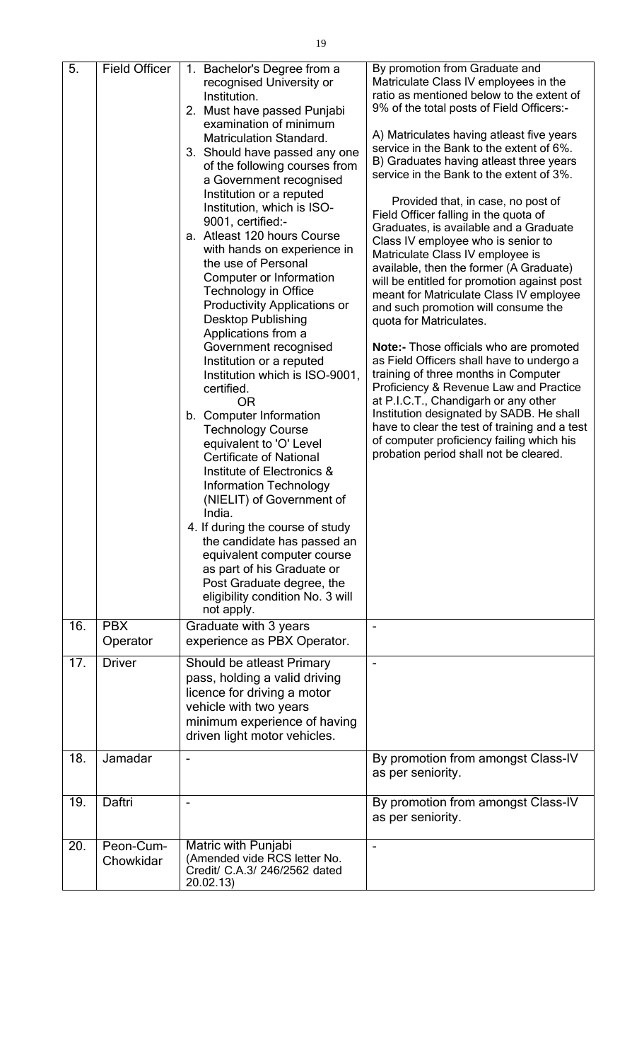| 5.  | <b>Field Officer</b>   | 1. Bachelor's Degree from a<br>recognised University or<br>Institution.<br>2. Must have passed Punjabi<br>examination of minimum<br>Matriculation Standard.<br>3. Should have passed any one<br>of the following courses from<br>a Government recognised<br>Institution or a reputed<br>Institution, which is ISO-<br>9001, certified:-<br>a. Atleast 120 hours Course<br>with hands on experience in<br>the use of Personal<br>Computer or Information<br><b>Technology in Office</b><br><b>Productivity Applications or</b><br><b>Desktop Publishing</b><br>Applications from a<br>Government recognised<br>Institution or a reputed<br>Institution which is ISO-9001,<br>certified.<br><b>OR</b><br>b. Computer Information<br><b>Technology Course</b><br>equivalent to 'O' Level<br><b>Certificate of National</b><br>Institute of Electronics &<br><b>Information Technology</b><br>(NIELIT) of Government of<br>India.<br>4. If during the course of study<br>the candidate has passed an<br>equivalent computer course<br>as part of his Graduate or<br>Post Graduate degree, the<br>eligibility condition No. 3 will | By promotion from Graduate and<br>Matriculate Class IV employees in the<br>ratio as mentioned below to the extent of<br>9% of the total posts of Field Officers:-<br>A) Matriculates having atleast five years<br>service in the Bank to the extent of 6%.<br>B) Graduates having atleast three years<br>service in the Bank to the extent of 3%.<br>Provided that, in case, no post of<br>Field Officer falling in the quota of<br>Graduates, is available and a Graduate<br>Class IV employee who is senior to<br>Matriculate Class IV employee is<br>available, then the former (A Graduate)<br>will be entitled for promotion against post<br>meant for Matriculate Class IV employee<br>and such promotion will consume the<br>quota for Matriculates.<br>Note:- Those officials who are promoted<br>as Field Officers shall have to undergo a<br>training of three months in Computer<br>Proficiency & Revenue Law and Practice<br>at P.I.C.T., Chandigarh or any other<br>Institution designated by SADB. He shall<br>have to clear the test of training and a test<br>of computer proficiency failing which his<br>probation period shall not be cleared. |
|-----|------------------------|-------------------------------------------------------------------------------------------------------------------------------------------------------------------------------------------------------------------------------------------------------------------------------------------------------------------------------------------------------------------------------------------------------------------------------------------------------------------------------------------------------------------------------------------------------------------------------------------------------------------------------------------------------------------------------------------------------------------------------------------------------------------------------------------------------------------------------------------------------------------------------------------------------------------------------------------------------------------------------------------------------------------------------------------------------------------------------------------------------------------------------|-------------------------------------------------------------------------------------------------------------------------------------------------------------------------------------------------------------------------------------------------------------------------------------------------------------------------------------------------------------------------------------------------------------------------------------------------------------------------------------------------------------------------------------------------------------------------------------------------------------------------------------------------------------------------------------------------------------------------------------------------------------------------------------------------------------------------------------------------------------------------------------------------------------------------------------------------------------------------------------------------------------------------------------------------------------------------------------------------------------------------------------------------------------------|
| 16. | <b>PBX</b>             | not apply.<br>Graduate with 3 years                                                                                                                                                                                                                                                                                                                                                                                                                                                                                                                                                                                                                                                                                                                                                                                                                                                                                                                                                                                                                                                                                           |                                                                                                                                                                                                                                                                                                                                                                                                                                                                                                                                                                                                                                                                                                                                                                                                                                                                                                                                                                                                                                                                                                                                                                   |
|     | Operator               | experience as PBX Operator.                                                                                                                                                                                                                                                                                                                                                                                                                                                                                                                                                                                                                                                                                                                                                                                                                                                                                                                                                                                                                                                                                                   |                                                                                                                                                                                                                                                                                                                                                                                                                                                                                                                                                                                                                                                                                                                                                                                                                                                                                                                                                                                                                                                                                                                                                                   |
| 17. | <b>Driver</b>          | Should be atleast Primary<br>pass, holding a valid driving<br>licence for driving a motor<br>vehicle with two years<br>minimum experience of having<br>driven light motor vehicles.                                                                                                                                                                                                                                                                                                                                                                                                                                                                                                                                                                                                                                                                                                                                                                                                                                                                                                                                           |                                                                                                                                                                                                                                                                                                                                                                                                                                                                                                                                                                                                                                                                                                                                                                                                                                                                                                                                                                                                                                                                                                                                                                   |
| 18. | Jamadar                | $\overline{\phantom{a}}$                                                                                                                                                                                                                                                                                                                                                                                                                                                                                                                                                                                                                                                                                                                                                                                                                                                                                                                                                                                                                                                                                                      | By promotion from amongst Class-IV<br>as per seniority.                                                                                                                                                                                                                                                                                                                                                                                                                                                                                                                                                                                                                                                                                                                                                                                                                                                                                                                                                                                                                                                                                                           |
| 19. | Daftri                 |                                                                                                                                                                                                                                                                                                                                                                                                                                                                                                                                                                                                                                                                                                                                                                                                                                                                                                                                                                                                                                                                                                                               | By promotion from amongst Class-IV<br>as per seniority.                                                                                                                                                                                                                                                                                                                                                                                                                                                                                                                                                                                                                                                                                                                                                                                                                                                                                                                                                                                                                                                                                                           |
| 20. | Peon-Cum-<br>Chowkidar | Matric with Punjabi<br>(Amended vide RCS letter No.<br>Credit/ C.A.3/ 246/2562 dated<br>20.02.13)                                                                                                                                                                                                                                                                                                                                                                                                                                                                                                                                                                                                                                                                                                                                                                                                                                                                                                                                                                                                                             |                                                                                                                                                                                                                                                                                                                                                                                                                                                                                                                                                                                                                                                                                                                                                                                                                                                                                                                                                                                                                                                                                                                                                                   |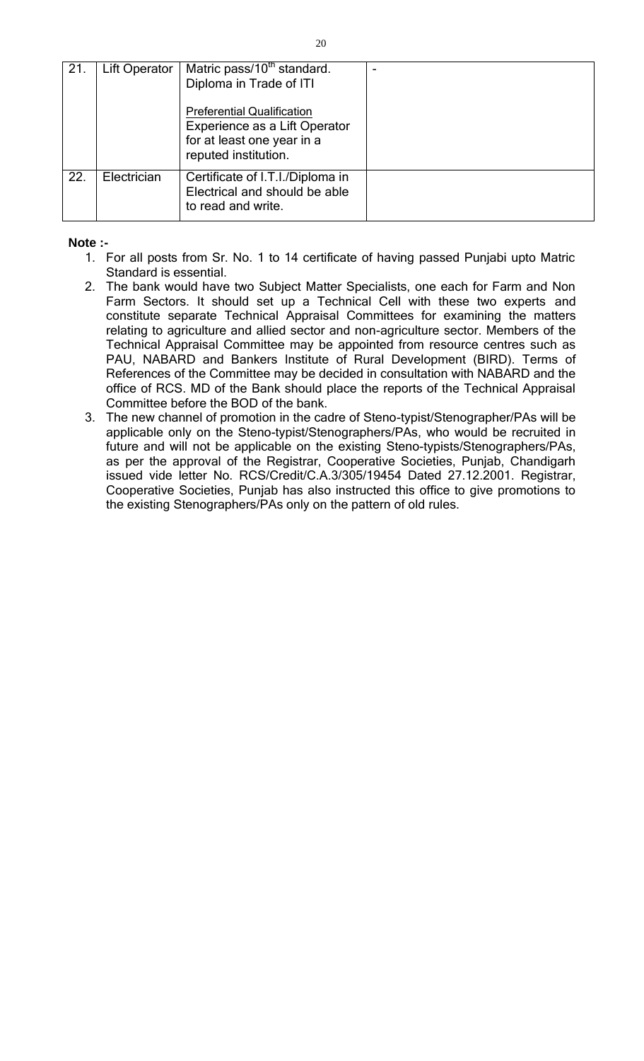| 21. | Lift Operator | Matric pass/10 <sup>th</sup> standard.<br>Diploma in Trade of ITI<br><b>Preferential Qualification</b> |  |
|-----|---------------|--------------------------------------------------------------------------------------------------------|--|
|     |               | Experience as a Lift Operator                                                                          |  |
|     |               | for at least one year in a                                                                             |  |
|     |               | reputed institution.                                                                                   |  |
| 22. | Electrician   | Certificate of I.T.I./Diploma in<br>Electrical and should be able<br>to read and write.                |  |

**Note :-**

- 1. For all posts from Sr. No. 1 to 14 certificate of having passed Punjabi upto Matric Standard is essential.
- 2. The bank would have two Subject Matter Specialists, one each for Farm and Non Farm Sectors. It should set up a Technical Cell with these two experts and constitute separate Technical Appraisal Committees for examining the matters relating to agriculture and allied sector and non-agriculture sector. Members of the Technical Appraisal Committee may be appointed from resource centres such as PAU, NABARD and Bankers Institute of Rural Development (BIRD). Terms of References of the Committee may be decided in consultation with NABARD and the office of RCS. MD of the Bank should place the reports of the Technical Appraisal Committee before the BOD of the bank.
- 3. The new channel of promotion in the cadre of Steno-typist/Stenographer/PAs will be applicable only on the Steno-typist/Stenographers/PAs, who would be recruited in future and will not be applicable on the existing Steno-typists/Stenographers/PAs, as per the approval of the Registrar, Cooperative Societies, Punjab, Chandigarh issued vide letter No. RCS/Credit/C.A.3/305/19454 Dated 27.12.2001. Registrar, Cooperative Societies, Punjab has also instructed this office to give promotions to the existing Stenographers/PAs only on the pattern of old rules.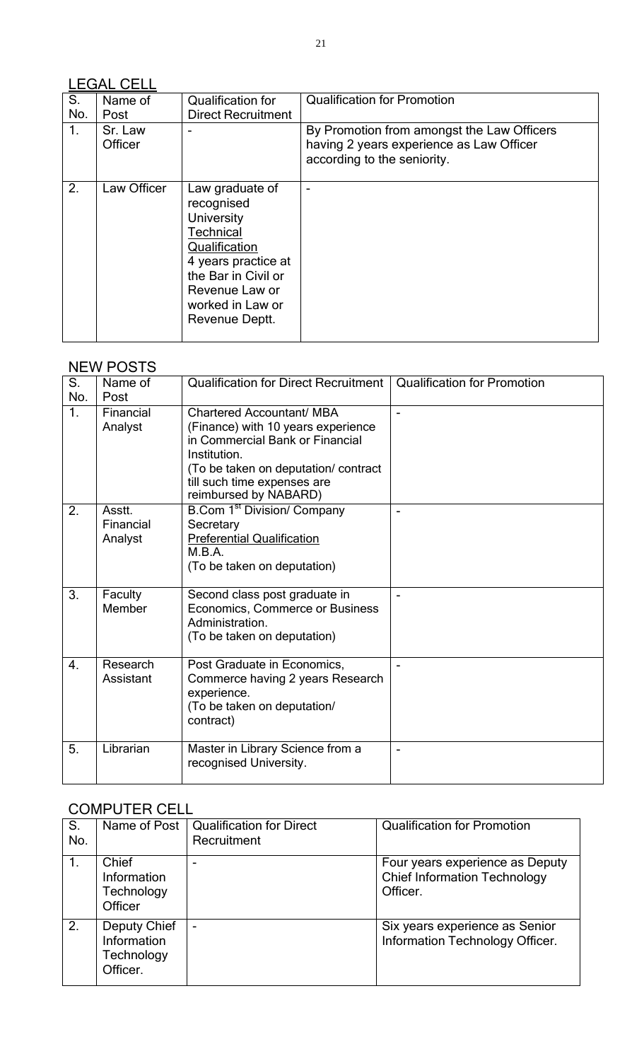# LEGAL CELL

| S.<br>No. | Name of<br>Post    | <b>Qualification for</b><br><b>Direct Recruitment</b>                                                                                                                                         | <b>Qualification for Promotion</b>                                                                                    |
|-----------|--------------------|-----------------------------------------------------------------------------------------------------------------------------------------------------------------------------------------------|-----------------------------------------------------------------------------------------------------------------------|
| 1.        | Sr. Law<br>Officer |                                                                                                                                                                                               | By Promotion from amongst the Law Officers<br>having 2 years experience as Law Officer<br>according to the seniority. |
| 2.        | Law Officer        | Law graduate of<br>recognised<br><b>University</b><br><b>Technical</b><br>Qualification<br>4 years practice at<br>the Bar in Civil or<br>Revenue Law or<br>worked in Law or<br>Revenue Deptt. |                                                                                                                       |

# NEW POSTS

| S.<br>No.        | Name of<br>Post                | <b>Qualification for Direct Recruitment</b>                                                                                                                                                                        | <b>Qualification for Promotion</b> |
|------------------|--------------------------------|--------------------------------------------------------------------------------------------------------------------------------------------------------------------------------------------------------------------|------------------------------------|
| $\mathbf{1}$ .   | Financial<br>Analyst           | Chartered Accountant/ MBA<br>(Finance) with 10 years experience<br>in Commercial Bank or Financial<br>Institution.<br>(To be taken on deputation/ contract<br>till such time expenses are<br>reimbursed by NABARD) | $\blacksquare$                     |
| 2.               | Asstt.<br>Financial<br>Analyst | B.Com 1 <sup>st</sup> Division/ Company<br>Secretary<br><b>Preferential Qualification</b><br>M.B.A.<br>(To be taken on deputation)                                                                                 | $\overline{\phantom{0}}$           |
| 3.               | Faculty<br>Member              | Second class post graduate in<br>Economics, Commerce or Business<br>Administration.<br>(To be taken on deputation)                                                                                                 | $\blacksquare$                     |
| $\overline{4}$ . | Research<br>Assistant          | Post Graduate in Economics,<br>Commerce having 2 years Research<br>experience.<br>(To be taken on deputation/<br>contract)                                                                                         |                                    |
| 5.               | Librarian                      | Master in Library Science from a<br>recognised University.                                                                                                                                                         | $\qquad \qquad$                    |

# COMPUTER CELL

| S.<br>No. | Name of Post                                          | <b>Qualification for Direct</b><br>Recruitment | <b>Qualification for Promotion</b>                                                 |
|-----------|-------------------------------------------------------|------------------------------------------------|------------------------------------------------------------------------------------|
|           | Chief<br>Information<br>Technology<br>Officer         |                                                | Four years experience as Deputy<br><b>Chief Information Technology</b><br>Officer. |
| 2.        | Deputy Chief<br>Information<br>Technology<br>Officer. | -                                              | Six years experience as Senior<br>Information Technology Officer.                  |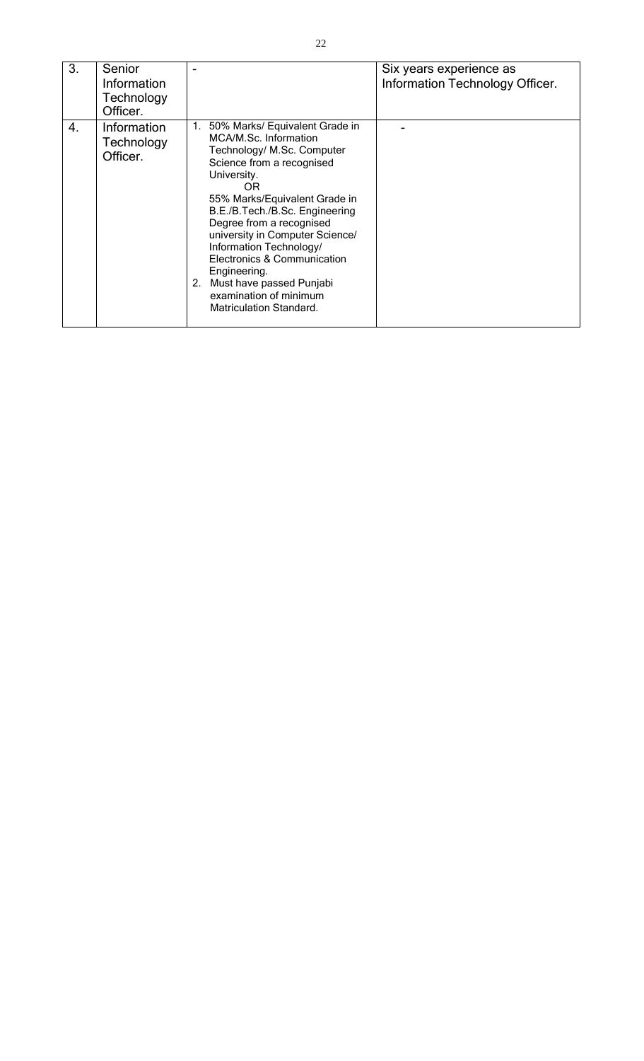| 3. | Senior<br>Information<br>Technology<br>Officer. |                                                                                                                                                                                                                                                                                                                                                                                                                                                       | Six years experience as<br>Information Technology Officer. |
|----|-------------------------------------------------|-------------------------------------------------------------------------------------------------------------------------------------------------------------------------------------------------------------------------------------------------------------------------------------------------------------------------------------------------------------------------------------------------------------------------------------------------------|------------------------------------------------------------|
| 4. | Information<br>Technology<br>Officer.           | 50% Marks/ Equivalent Grade in<br>1.<br>MCA/M.Sc. Information<br>Technology/ M.Sc. Computer<br>Science from a recognised<br>University.<br>OR.<br>55% Marks/Equivalent Grade in<br>B.E./B.Tech./B.Sc. Engineering<br>Degree from a recognised<br>university in Computer Science/<br>Information Technology/<br>Electronics & Communication<br>Engineering.<br>2. Must have passed Punjabi<br>examination of minimum<br><b>Matriculation Standard.</b> |                                                            |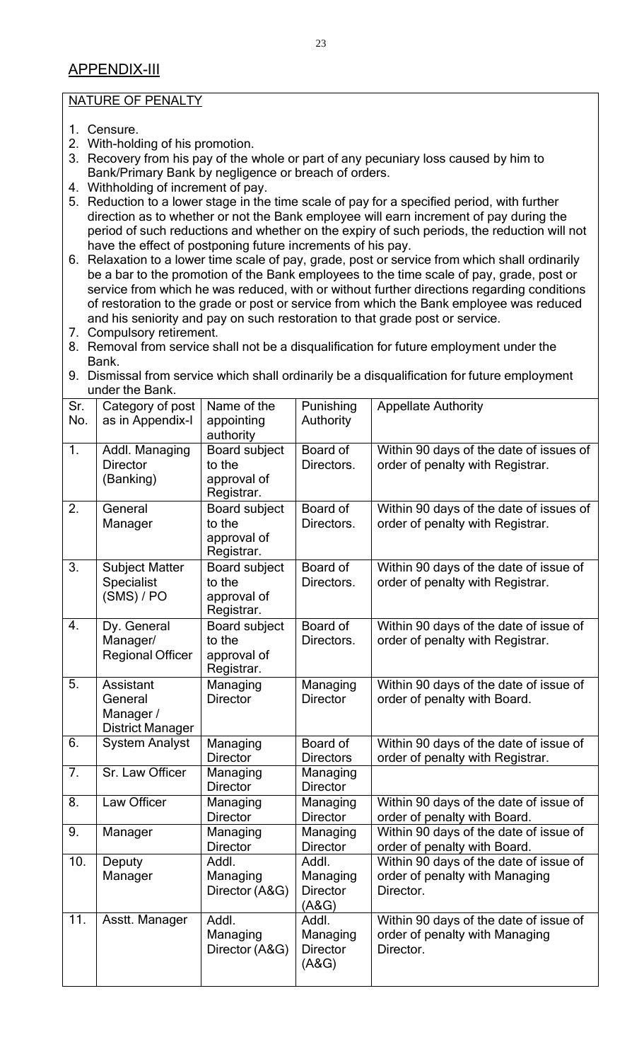### APPENDIX-III

### NATURE OF PENALTY

- 1. Censure.
- 2. With-holding of his promotion.
- 3. Recovery from his pay of the whole or part of any pecuniary loss caused by him to Bank/Primary Bank by negligence or breach of orders.
- 4. Withholding of increment of pay.
- 5. Reduction to a lower stage in the time scale of pay for a specified period, with further direction as to whether or not the Bank employee will earn increment of pay during the period of such reductions and whether on the expiry of such periods, the reduction will not have the effect of postponing future increments of his pay.
- 6. Relaxation to a lower time scale of pay, grade, post or service from which shall ordinarily be a bar to the promotion of the Bank employees to the time scale of pay, grade, post or service from which he was reduced, with or without further directions regarding conditions of restoration to the grade or post or service from which the Bank employee was reduced and his seniority and pay on such restoration to that grade post or service.
- 7. Compulsory retirement.
- 8. Removal from service shall not be a disqualification for future employment under the Bank.
- 9. Dismissal from service which shall ordinarily be a disqualification for future employment under the Bank.

| Sr.<br>No.       | Category of post<br>as in Appendix-I                                | Name of the<br>appointing<br>authority               | Punishing<br>Authority                        | <b>Appellate Authority</b>                                                            |
|------------------|---------------------------------------------------------------------|------------------------------------------------------|-----------------------------------------------|---------------------------------------------------------------------------------------|
| $\overline{1}$ . | Addl. Managing<br><b>Director</b><br>(Banking)                      | Board subject<br>to the<br>approval of<br>Registrar. | Board of<br>Directors.                        | Within 90 days of the date of issues of<br>order of penalty with Registrar.           |
| 2.               | General<br>Manager                                                  | Board subject<br>to the<br>approval of<br>Registrar. | Board of<br>Directors.                        | Within 90 days of the date of issues of<br>order of penalty with Registrar.           |
| 3.               | <b>Subject Matter</b><br><b>Specialist</b><br>(SMS) / PO            | Board subject<br>to the<br>approval of<br>Registrar. | Board of<br>Directors.                        | Within 90 days of the date of issue of<br>order of penalty with Registrar.            |
| 4.               | Dy. General<br>Manager/<br><b>Regional Officer</b>                  | Board subject<br>to the<br>approval of<br>Registrar. | Board of<br>Directors.                        | Within 90 days of the date of issue of<br>order of penalty with Registrar.            |
| 5.               | <b>Assistant</b><br>General<br>Manager /<br><b>District Manager</b> | Managing<br><b>Director</b>                          | Managing<br><b>Director</b>                   | Within 90 days of the date of issue of<br>order of penalty with Board.                |
| 6.               | <b>System Analyst</b>                                               | Managing<br><b>Director</b>                          | Board of<br><b>Directors</b>                  | Within 90 days of the date of issue of<br>order of penalty with Registrar.            |
| 7.               | Sr. Law Officer                                                     | Managing<br><b>Director</b>                          | Managing<br><b>Director</b>                   |                                                                                       |
| 8.               | Law Officer                                                         | Managing<br><b>Director</b>                          | Managing<br><b>Director</b>                   | Within 90 days of the date of issue of<br>order of penalty with Board.                |
| 9.               | Manager                                                             | Managing<br><b>Director</b>                          | Managing<br><b>Director</b>                   | Within 90 days of the date of issue of<br>order of penalty with Board.                |
| 10.              | Deputy<br>Manager                                                   | Addl.<br>Managing<br>Director (A&G)                  | Addl.<br>Managing<br><b>Director</b><br>(ASG) | Within 90 days of the date of issue of<br>order of penalty with Managing<br>Director. |
| 11.              | Asstt. Manager                                                      | Addl.<br>Managing<br>Director (A&G)                  | Addl.<br>Managing<br><b>Director</b><br>(ASG) | Within 90 days of the date of issue of<br>order of penalty with Managing<br>Director. |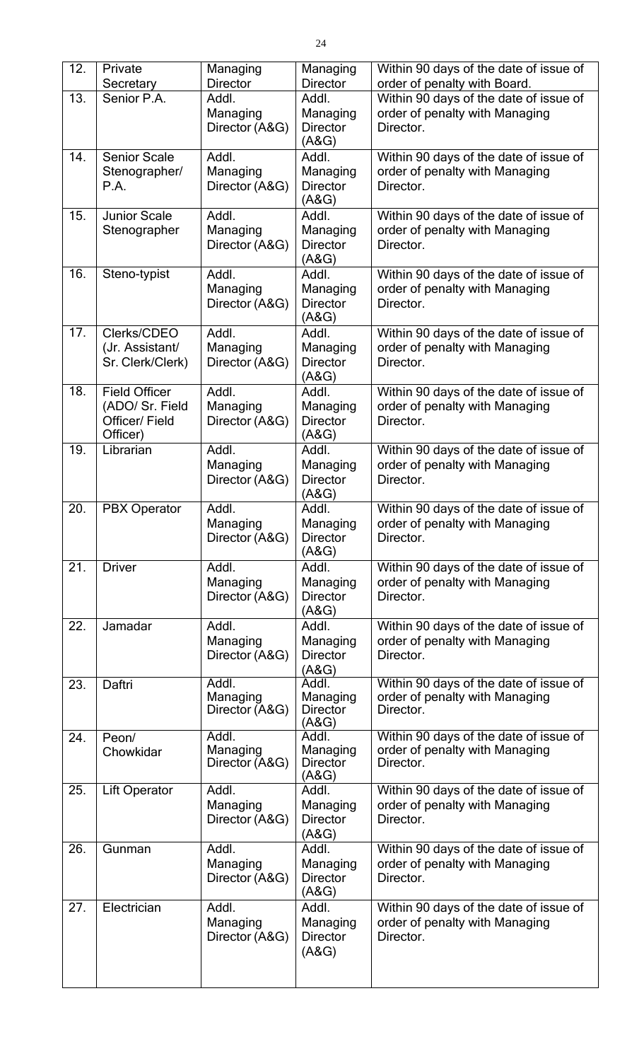| 12. | Private<br>Secretary                                                  | Managing<br><b>Director</b>         | Managing<br><b>Director</b>                   | Within 90 days of the date of issue of<br>order of penalty with Board.                |
|-----|-----------------------------------------------------------------------|-------------------------------------|-----------------------------------------------|---------------------------------------------------------------------------------------|
| 13. | Senior P.A.                                                           | Addl.<br>Managing<br>Director (A&G) | Addl.<br>Managing<br><b>Director</b><br>(ASG) | Within 90 days of the date of issue of<br>order of penalty with Managing<br>Director. |
| 14. | <b>Senior Scale</b><br>Stenographer/<br>P.A.                          | Addl.<br>Managing<br>Director (A&G) | Addl.<br>Managing<br><b>Director</b><br>(ASG) | Within 90 days of the date of issue of<br>order of penalty with Managing<br>Director. |
| 15. | <b>Junior Scale</b><br>Stenographer                                   | Addl.<br>Managing<br>Director (A&G) | Addl.<br>Managing<br><b>Director</b><br>(ASG) | Within 90 days of the date of issue of<br>order of penalty with Managing<br>Director. |
| 16. | Steno-typist                                                          | Addl.<br>Managing<br>Director (A&G) | Addl.<br>Managing<br><b>Director</b><br>(ASG) | Within 90 days of the date of issue of<br>order of penalty with Managing<br>Director. |
| 17. | Clerks/CDEO<br>(Jr. Assistant/<br>Sr. Clerk/Clerk)                    | Addl.<br>Managing<br>Director (A&G) | Addl.<br>Managing<br><b>Director</b><br>(A&G) | Within 90 days of the date of issue of<br>order of penalty with Managing<br>Director. |
| 18. | <b>Field Officer</b><br>(ADO/ Sr. Field<br>Officer/ Field<br>Officer) | Addl.<br>Managing<br>Director (A&G) | Addl.<br>Managing<br><b>Director</b><br>(ASG) | Within 90 days of the date of issue of<br>order of penalty with Managing<br>Director. |
| 19. | Librarian                                                             | Addl.<br>Managing<br>Director (A&G) | Addl.<br>Managing<br><b>Director</b><br>(ASG) | Within 90 days of the date of issue of<br>order of penalty with Managing<br>Director. |
| 20. | <b>PBX Operator</b>                                                   | Addl.<br>Managing<br>Director (A&G) | Addl.<br>Managing<br><b>Director</b><br>(A&G) | Within 90 days of the date of issue of<br>order of penalty with Managing<br>Director. |
| 21. | <b>Driver</b>                                                         | Addl.<br>Managing<br>Director (A&G) | Addl.<br>Managing<br><b>Director</b><br>(ASG) | Within 90 days of the date of issue of<br>order of penalty with Managing<br>Director. |
| 22. | Jamadar                                                               | Addl.<br>Managing<br>Director (A&G) | Addl.<br>Managing<br><b>Director</b><br>(ASG) | Within 90 days of the date of issue of<br>order of penalty with Managing<br>Director. |
| 23. | Daftri                                                                | Addl.<br>Managing<br>Director (A&G) | Addl.<br>Managing<br><b>Director</b><br>(ASG) | Within 90 days of the date of issue of<br>order of penalty with Managing<br>Director. |
| 24. | Peon/<br>Chowkidar                                                    | Addl.<br>Managing<br>Director (A&G) | Addl.<br>Managing<br><b>Director</b><br>(ASG) | Within 90 days of the date of issue of<br>order of penalty with Managing<br>Director. |
| 25. | <b>Lift Operator</b>                                                  | Addl.<br>Managing<br>Director (A&G) | Addl.<br>Managing<br><b>Director</b><br>(ASG) | Within 90 days of the date of issue of<br>order of penalty with Managing<br>Director. |
| 26. | Gunman                                                                | Addl.<br>Managing<br>Director (A&G) | Addl.<br>Managing<br><b>Director</b><br>(ASG) | Within 90 days of the date of issue of<br>order of penalty with Managing<br>Director. |
| 27. | Electrician                                                           | Addl.<br>Managing<br>Director (A&G) | Addl.<br>Managing<br><b>Director</b><br>(ASG) | Within 90 days of the date of issue of<br>order of penalty with Managing<br>Director. |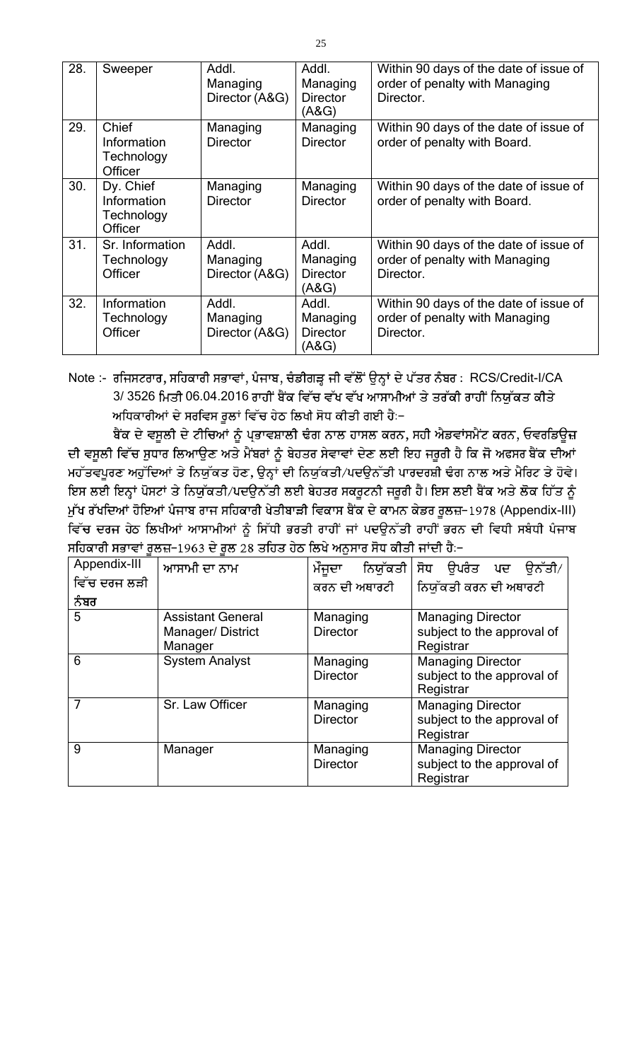| 28. | Sweeper                                           | Addl.<br>Managing<br>Director (A&G) | Addl.<br>Managing<br><b>Director</b><br>(A&G) | Within 90 days of the date of issue of<br>order of penalty with Managing<br>Director. |
|-----|---------------------------------------------------|-------------------------------------|-----------------------------------------------|---------------------------------------------------------------------------------------|
| 29. | Chief<br>Information<br>Technology<br>Officer     | Managing<br><b>Director</b>         | Managing<br><b>Director</b>                   | Within 90 days of the date of issue of<br>order of penalty with Board.                |
| 30. | Dy. Chief<br>Information<br>Technology<br>Officer | Managing<br><b>Director</b>         | Managing<br><b>Director</b>                   | Within 90 days of the date of issue of<br>order of penalty with Board.                |
| 31. | Sr. Information<br>Technology<br>Officer          | Addl.<br>Managing<br>Director (A&G) | Addl.<br>Managing<br><b>Director</b><br>(A&G) | Within 90 days of the date of issue of<br>order of penalty with Managing<br>Director. |
| 32. | Information<br>Technology<br>Officer              | Addl.<br>Managing<br>Director (A&G) | Addl.<br>Managing<br><b>Director</b><br>(A&G) | Within 90 days of the date of issue of<br>order of penalty with Managing<br>Director. |

Note :- ਰਜਿਸਟਰਾਰ, ਸਹਿਕਾਰੀ ਸਭਾਵਾਂ, ਪੰਜਾਬ, ਚੰਡੀਗੜ੍ਹ ਜੀ ਵੱਲੋਂ ਉਨ੍ਹਾਂ ਦੇ ਪੱਤਰ ਨੰਬਰ : RCS/Credit-I/CA 3/ 3526 ਮਿਤੀ 06.04.2016 ਰਾਹੀਂ ਬੈਂਕ ਵਿੱਚ ਵੱਖ ਵੱਖ ਆਸਾਮੀਆਂ ਤੇ ਤਰੱਕੀ ਰਾਹੀਂ ਨਿਯੱਕਤ ਕੀਤੇ ਅਧਿਕਾਰੀਆਂ ਦੇ ਸਰਵਿਸ ਰੁਲਾਂ ਵਿੱਚ ਹੇਠ ਲਿਖੀ ਸੋਧ ਕੀਤੀ ਗਈ ਹੈ:-

ਬੈਂਕ ਦੇ ਵਸੂਲੀ ਦੇ ਟੀਚਿਆਂ ਨੂੰ ਪ੍ਭਾਵਸ਼ਾਲੀ ਢੰਗ ਨਾਲ ਹਾਸਲ ਕਰਨ, ਸਹੀ ਐਡਵਾਂਸਮੈਂਟ ਕਰਨ, ਓਵਰਡਿਊਜ਼ ਦੀ ਵਸੂਲੀ ਵਿੱਚ ਸੁਧਾਰ ਲਿਆਉਣ ਅਤੇ ਮੈਂਬਰਾਂ ਨੂੰ ਬੇਹਤਰ ਸੇਵਾਵਾਂ ਦੇਣ ਲਈ ਇਹ ਜਰੂਰੀ ਹੈ ਕਿ ਜੋ ਅਫਸਰ ਬੈਂਕ ਦੀਆਂ ਮਹੱਤਵਪੂਰਣ ਅਹੁੱਦਿਆਂ ਤੇ ਨਿਯੁੱਕਤ ਹੋਣ, ਉਨ੍ਹਾਂ ਦੀ ਨਿਯੁੱਕਤੀ/ਪਦਉਨੱਤੀ ਪਾਰਦਰਸ਼ੀ ਢੰਗ ਨਾਲ ਅਤੇ ਮੈਰਿਟ ਤੇ ਹੋਵੇ। ਇਸ ਲਈ ਇਨ੍ਹਾਂ ਪੋਸਟਾਂ ਤੇ ਨਿਯੁੱਕਤੀ/ਪਦਉਨੱਤੀ ਲਈ ਬੇਹਤਰ ਸਕਰੂਟਨੀ ਜਰੂਰੀ ਹੈ। ਇਸ ਲਈ ਬੈਂਕ ਅਤੇ ਲੋਕ ਹਿੱਤ ਨੂੰ ਮੁੱਖ ਰੱਖਦਿਆਂ ਹੋਇਆਂ ਪੰਜਾਬ ਰਾਜ ਸਹਿਕਾਰੀ ਖੇਤੀਬਾੜੀ ਵਿਕਾਸ ਬੈਂਕ ਦੇ ਕਾਮਨ ਕੇਡਰ ਰੂਲਜ਼−1978 (Appendix-III) ਵਿੱਚ ਦਰਜ ਹੇਠ ਲਿਖੀਆਂ ਆਸਾਮੀਆਂ ਨੂੰ ਸਿੱਧੀ ਭਰਤੀ ਰਾਹੀਂ ਜਾਂ ਪਦਉਨੱਤੀ ਰਾਹੀਂ ਭਰਨ ਦੀ ਵਿਧੀ ਸਬੰਧੀ ਪੰਜਾਬ ਸਹਿਕਾਰੀ ਸਭਾਵਾਂ ਰੁਲਜ਼−1963 ਦੇ ਰੁਲ 28 ਤਹਿਤ ਹੇਠ ਲਿਖੇ ਅਨੁਸਾਰ ਸੋਧ ਕੀਤੀ ਜਾਂਦੀ ਹੈ:−

| Appendix-III | ਆਸਾਮੀ ਦਾ ਨਾਮ                                            | ਮੌਜੂਦਾ<br>ਨਿਯੱਕਤੀ           | ਸੋਧ ੳਪਰੰਤ ਪਦ ੳਨੱਤੀ⁄                                                 |
|--------------|---------------------------------------------------------|-----------------------------|---------------------------------------------------------------------|
| ਵਿੱਚ ਦਰਜ ਲੜੀ |                                                         | ਕਰਨ ਦੀ ਅਥਾਰਟੀ               | ਨਿਯੱਕਤੀ ਕਰਨ ਦੀ ਅਥਾਰਟੀ                                               |
| ਨੰਬਰ         |                                                         |                             |                                                                     |
| 5            | <b>Assistant General</b><br>Manager/District<br>Manager | Managing<br><b>Director</b> | <b>Managing Director</b><br>subject to the approval of<br>Registrar |
| 6            | <b>System Analyst</b>                                   | Managing<br><b>Director</b> | <b>Managing Director</b><br>subject to the approval of<br>Registrar |
| 7            | Sr. Law Officer                                         | Managing<br><b>Director</b> | <b>Managing Director</b><br>subject to the approval of<br>Registrar |
| 9            | Manager                                                 | Managing<br><b>Director</b> | <b>Managing Director</b><br>subject to the approval of<br>Registrar |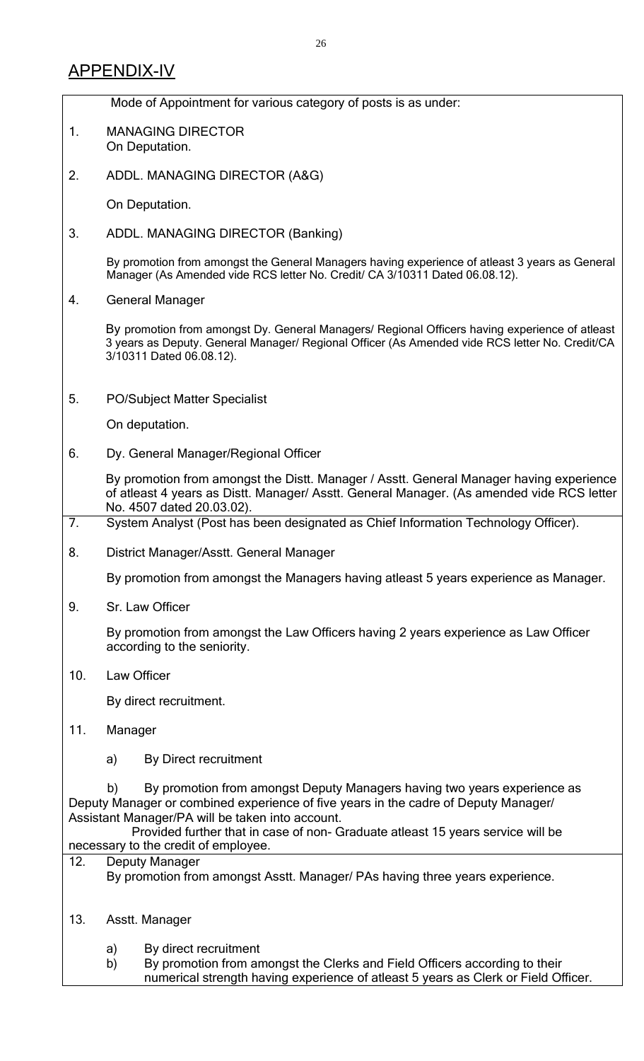|     | Mode of Appointment for various category of posts is as under:                                                                                                                                                                                                                                                                                       |  |  |  |  |  |  |
|-----|------------------------------------------------------------------------------------------------------------------------------------------------------------------------------------------------------------------------------------------------------------------------------------------------------------------------------------------------------|--|--|--|--|--|--|
| 1.  | <b>MANAGING DIRECTOR</b><br>On Deputation.                                                                                                                                                                                                                                                                                                           |  |  |  |  |  |  |
| 2.  | ADDL. MANAGING DIRECTOR (A&G)                                                                                                                                                                                                                                                                                                                        |  |  |  |  |  |  |
|     | On Deputation.                                                                                                                                                                                                                                                                                                                                       |  |  |  |  |  |  |
| 3.  | ADDL. MANAGING DIRECTOR (Banking)                                                                                                                                                                                                                                                                                                                    |  |  |  |  |  |  |
|     | By promotion from amongst the General Managers having experience of atleast 3 years as General<br>Manager (As Amended vide RCS letter No. Credit/ CA 3/10311 Dated 06.08.12).                                                                                                                                                                        |  |  |  |  |  |  |
| 4.  | <b>General Manager</b>                                                                                                                                                                                                                                                                                                                               |  |  |  |  |  |  |
|     | By promotion from amongst Dy. General Managers/ Regional Officers having experience of atleast<br>3 years as Deputy. General Manager/ Regional Officer (As Amended vide RCS letter No. Credit/CA<br>3/10311 Dated 06.08.12).                                                                                                                         |  |  |  |  |  |  |
| 5.  | <b>PO/Subject Matter Specialist</b>                                                                                                                                                                                                                                                                                                                  |  |  |  |  |  |  |
|     | On deputation.                                                                                                                                                                                                                                                                                                                                       |  |  |  |  |  |  |
| 6.  | Dy. General Manager/Regional Officer                                                                                                                                                                                                                                                                                                                 |  |  |  |  |  |  |
|     | By promotion from amongst the Distt. Manager / Asstt. General Manager having experience<br>of atleast 4 years as Distt. Manager/ Asstt. General Manager. (As amended vide RCS letter<br>No. 4507 dated 20.03.02).                                                                                                                                    |  |  |  |  |  |  |
| 7.  | System Analyst (Post has been designated as Chief Information Technology Officer).                                                                                                                                                                                                                                                                   |  |  |  |  |  |  |
| 8.  | District Manager/Asstt. General Manager                                                                                                                                                                                                                                                                                                              |  |  |  |  |  |  |
|     | By promotion from amongst the Managers having atleast 5 years experience as Manager.                                                                                                                                                                                                                                                                 |  |  |  |  |  |  |
| 9.  | Sr. Law Officer                                                                                                                                                                                                                                                                                                                                      |  |  |  |  |  |  |
|     | By promotion from amongst the Law Officers having 2 years experience as Law Officer<br>according to the seniority.                                                                                                                                                                                                                                   |  |  |  |  |  |  |
| 10. | Law Officer                                                                                                                                                                                                                                                                                                                                          |  |  |  |  |  |  |
|     | By direct recruitment.                                                                                                                                                                                                                                                                                                                               |  |  |  |  |  |  |
| 11. | Manager                                                                                                                                                                                                                                                                                                                                              |  |  |  |  |  |  |
|     | By Direct recruitment<br>a)                                                                                                                                                                                                                                                                                                                          |  |  |  |  |  |  |
|     | By promotion from amongst Deputy Managers having two years experience as<br>b)<br>Deputy Manager or combined experience of five years in the cadre of Deputy Manager/<br>Assistant Manager/PA will be taken into account.<br>Provided further that in case of non- Graduate atleast 15 years service will be<br>necessary to the credit of employee. |  |  |  |  |  |  |
| 12. | Deputy Manager                                                                                                                                                                                                                                                                                                                                       |  |  |  |  |  |  |
|     | By promotion from amongst Asstt. Manager/ PAs having three years experience.                                                                                                                                                                                                                                                                         |  |  |  |  |  |  |
| 13. | Asstt. Manager                                                                                                                                                                                                                                                                                                                                       |  |  |  |  |  |  |
|     | By direct recruitment<br>a)<br>By promotion from amongst the Clerks and Field Officers according to their<br>b)                                                                                                                                                                                                                                      |  |  |  |  |  |  |

numerical strength having experience of atleast 5 years as Clerk or Field Officer.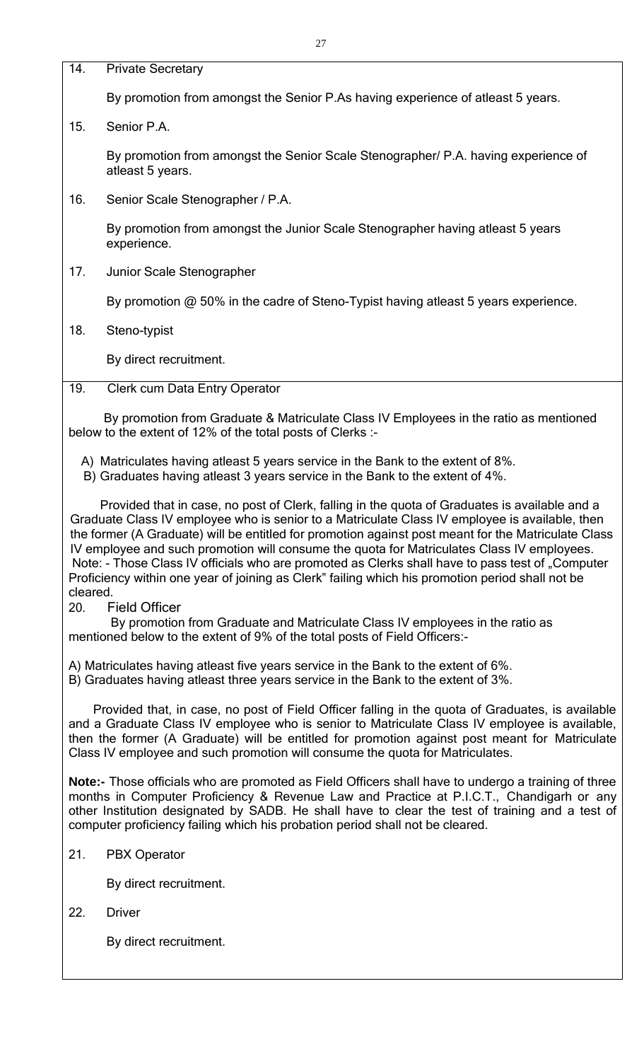14. Private Secretary

By promotion from amongst the Senior P.As having experience of atleast 5 years.

15. Senior P.A.

By promotion from amongst the Senior Scale Stenographer/ P.A. having experience of atleast 5 years.

16. Senior Scale Stenographer / P.A.

By promotion from amongst the Junior Scale Stenographer having atleast 5 years experience.

17. Junior Scale Stenographer

By promotion @ 50% in the cadre of Steno-Typist having atleast 5 years experience.

18. Steno-typist

By direct recruitment.

19. Clerk cum Data Entry Operator

By promotion from Graduate & Matriculate Class IV Employees in the ratio as mentioned below to the extent of 12% of the total posts of Clerks :-

A) Matriculates having atleast 5 years service in the Bank to the extent of 8%.

B) Graduates having atleast 3 years service in the Bank to the extent of 4%.

Provided that in case, no post of Clerk, falling in the quota of Graduates is available and a Graduate Class IV employee who is senior to a Matriculate Class IV employee is available, then the former (A Graduate) will be entitled for promotion against post meant for the Matriculate Class IV employee and such promotion will consume the quota for Matriculates Class IV employees. Note: - Those Class IV officials who are promoted as Clerks shall have to pass test of "Computer Proficiency within one year of joining as Clerk" failing which his promotion period shall not be cleared.

20. Field Officer

By promotion from Graduate and Matriculate Class IV employees in the ratio as mentioned below to the extent of 9% of the total posts of Field Officers:-

A) Matriculates having atleast five years service in the Bank to the extent of 6%.

B) Graduates having atleast three years service in the Bank to the extent of 3%.

Provided that, in case, no post of Field Officer falling in the quota of Graduates, is available and a Graduate Class IV employee who is senior to Matriculate Class IV employee is available, then the former (A Graduate) will be entitled for promotion against post meant for Matriculate Class IV employee and such promotion will consume the quota for Matriculates.

**Note:-** Those officials who are promoted as Field Officers shall have to undergo a training of three months in Computer Proficiency & Revenue Law and Practice at P.I.C.T., Chandigarh or any other Institution designated by SADB. He shall have to clear the test of training and a test of computer proficiency failing which his probation period shall not be cleared.

21. PBX Operator

By direct recruitment.

22. Driver

By direct recruitment.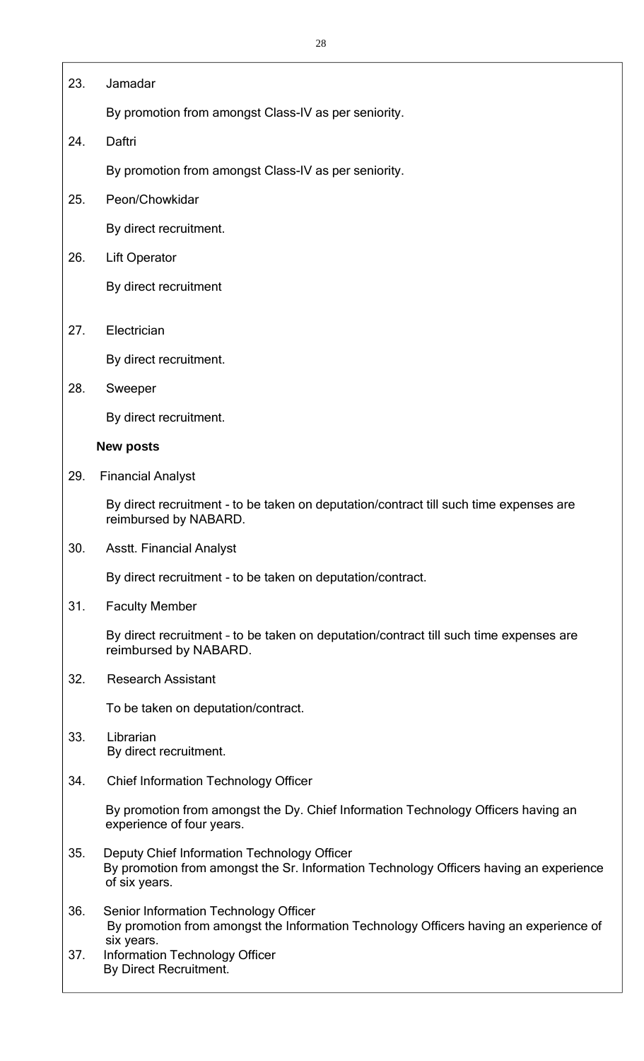### 23. Jamadar

By promotion from amongst Class-IV as per seniority.

24. Daftri

By promotion from amongst Class-IV as per seniority.

25. Peon/Chowkidar

By direct recruitment.

26. Lift Operator

By direct recruitment

27. Electrician

By direct recruitment.

28. Sweeper

By direct recruitment.

### **New posts**

29. Financial Analyst

By direct recruitment - to be taken on deputation/contract till such time expenses are reimbursed by NABARD.

30. Asstt. Financial Analyst

By direct recruitment - to be taken on deputation/contract.

31. Faculty Member

By direct recruitment – to be taken on deputation/contract till such time expenses are reimbursed by NABARD.

32. Research Assistant

To be taken on deputation/contract.

- 33. Librarian By direct recruitment.
- 34. Chief Information Technology Officer

By promotion from amongst the Dy. Chief Information Technology Officers having an experience of four years.

- 35. Deputy Chief Information Technology Officer By promotion from amongst the Sr. Information Technology Officers having an experience of six years.
- 36. Senior Information Technology Officer By promotion from amongst the Information Technology Officers having an experience of six years.
- 37. Information Technology Officer By Direct Recruitment.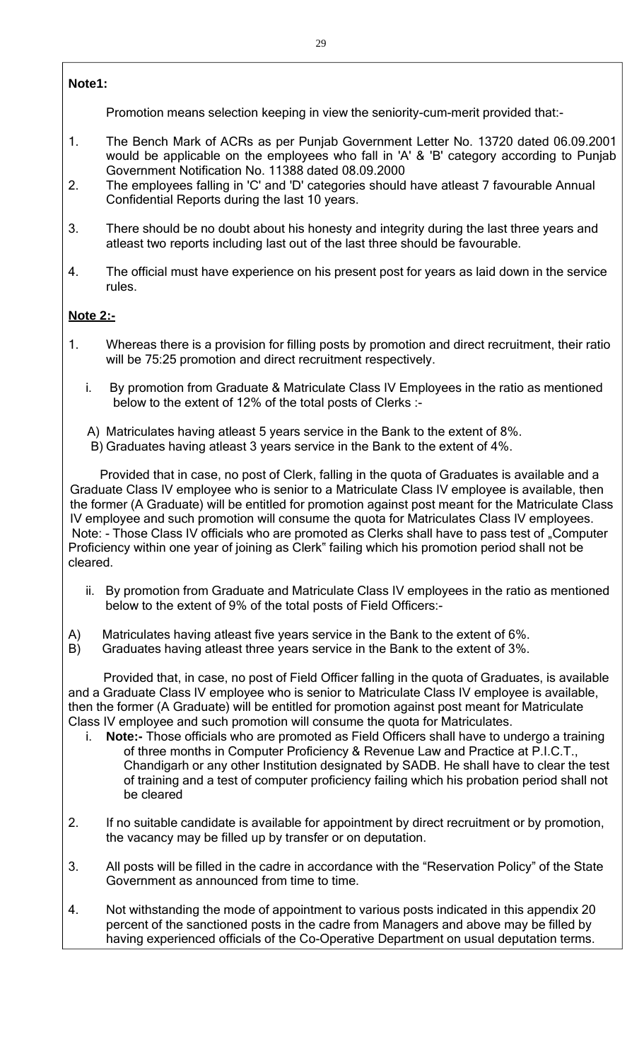### **Note1:**

Promotion means selection keeping in view the seniority-cum-merit provided that:-

- 1. The Bench Mark of ACRs as per Punjab Government Letter No. 13720 dated 06.09.2001 would be applicable on the employees who fall in 'A' & 'B' category according to Punjab Government Notification No. 11388 dated 08.09.2000
- 2. The employees falling in 'C' and 'D' categories should have atleast 7 favourable Annual Confidential Reports during the last 10 years.
- 3. There should be no doubt about his honesty and integrity during the last three years and atleast two reports including last out of the last three should be favourable.
- 4. The official must have experience on his present post for years as laid down in the service rules.

### **Note 2:-**

- 1. Whereas there is a provision for filling posts by promotion and direct recruitment, their ratio will be 75:25 promotion and direct recruitment respectively.
	- i. By promotion from Graduate & Matriculate Class IV Employees in the ratio as mentioned below to the extent of 12% of the total posts of Clerks :-
	- A) Matriculates having atleast 5 years service in the Bank to the extent of 8%.
	- B) Graduates having atleast 3 years service in the Bank to the extent of 4%.

Provided that in case, no post of Clerk, falling in the quota of Graduates is available and a Graduate Class IV employee who is senior to a Matriculate Class IV employee is available, then the former (A Graduate) will be entitled for promotion against post meant for the Matriculate Class IV employee and such promotion will consume the quota for Matriculates Class IV employees. Note: - Those Class IV officials who are promoted as Clerks shall have to pass test of "Computer Proficiency within one year of joining as Clerk" failing which his promotion period shall not be cleared.

- ii. By promotion from Graduate and Matriculate Class IV employees in the ratio as mentioned below to the extent of 9% of the total posts of Field Officers:-
- A) Matriculates having atleast five years service in the Bank to the extent of 6%.
- B) Graduates having atleast three years service in the Bank to the extent of 3%.

Provided that, in case, no post of Field Officer falling in the quota of Graduates, is available and a Graduate Class IV employee who is senior to Matriculate Class IV employee is available, then the former (A Graduate) will be entitled for promotion against post meant for Matriculate Class IV employee and such promotion will consume the quota for Matriculates.

- i. **Note:-** Those officials who are promoted as Field Officers shall have to undergo a training of three months in Computer Proficiency & Revenue Law and Practice at P.I.C.T., Chandigarh or any other Institution designated by SADB. He shall have to clear the test of training and a test of computer proficiency failing which his probation period shall not be cleared
- 2. If no suitable candidate is available for appointment by direct recruitment or by promotion, the vacancy may be filled up by transfer or on deputation.
- 3. All posts will be filled in the cadre in accordance with the "Reservation Policy" of the State Government as announced from time to time.
- 4. Not withstanding the mode of appointment to various posts indicated in this appendix 20 percent of the sanctioned posts in the cadre from Managers and above may be filled by having experienced officials of the Co-Operative Department on usual deputation terms.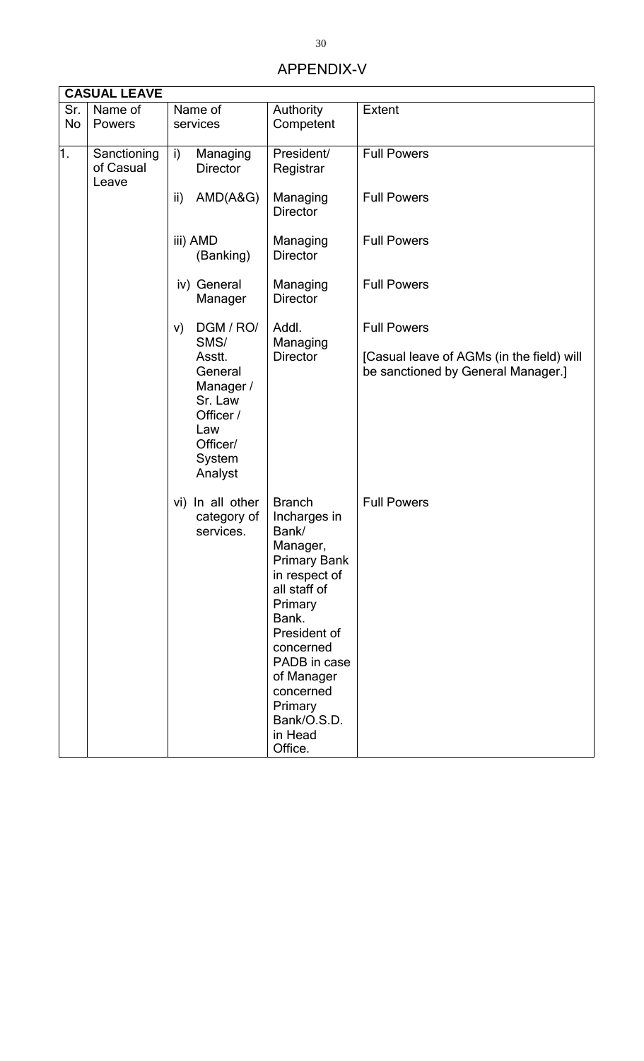## APPENDIX-V

|                  | <b>CASUAL LEAVE</b>               |                                                                                                |                                                                                                                                                                                                                                                        |                                                                                 |  |  |  |  |
|------------------|-----------------------------------|------------------------------------------------------------------------------------------------|--------------------------------------------------------------------------------------------------------------------------------------------------------------------------------------------------------------------------------------------------------|---------------------------------------------------------------------------------|--|--|--|--|
| Sr.<br>No        | Name of<br>Powers                 | Name of<br>services                                                                            | Authority<br>Competent                                                                                                                                                                                                                                 | <b>Extent</b>                                                                   |  |  |  |  |
| $\overline{1}$ . | Sanctioning<br>of Casual<br>Leave | $\mathsf{i}$<br>Managing<br><b>Director</b>                                                    | President/<br>Registrar                                                                                                                                                                                                                                | <b>Full Powers</b>                                                              |  |  |  |  |
|                  |                                   | AMD(A&G)<br>ii)                                                                                | Managing<br><b>Director</b>                                                                                                                                                                                                                            | <b>Full Powers</b>                                                              |  |  |  |  |
|                  |                                   | iii) AMD<br>(Banking)                                                                          | Managing<br><b>Director</b>                                                                                                                                                                                                                            | <b>Full Powers</b>                                                              |  |  |  |  |
|                  |                                   | iv) General<br>Manager                                                                         | Managing<br><b>Director</b>                                                                                                                                                                                                                            | <b>Full Powers</b>                                                              |  |  |  |  |
|                  |                                   | DGM / RO/<br>V)<br>SMS/                                                                        | Addl.                                                                                                                                                                                                                                                  | <b>Full Powers</b>                                                              |  |  |  |  |
|                  |                                   | Asstt.<br>General<br>Manager /<br>Sr. Law<br>Officer /<br>Law<br>Officer/<br>System<br>Analyst | Managing<br><b>Director</b>                                                                                                                                                                                                                            | [Casual leave of AGMs (in the field) will<br>be sanctioned by General Manager.] |  |  |  |  |
|                  |                                   | vi) In all other<br>category of<br>services.                                                   | <b>Branch</b><br>Incharges in<br>Bank/<br>Manager,<br><b>Primary Bank</b><br>in respect of<br>all staff of<br>Primary<br>Bank.<br>President of<br>concerned<br>PADB in case<br>of Manager<br>concerned<br>Primary<br>Bank/O.S.D.<br>in Head<br>Office. | <b>Full Powers</b>                                                              |  |  |  |  |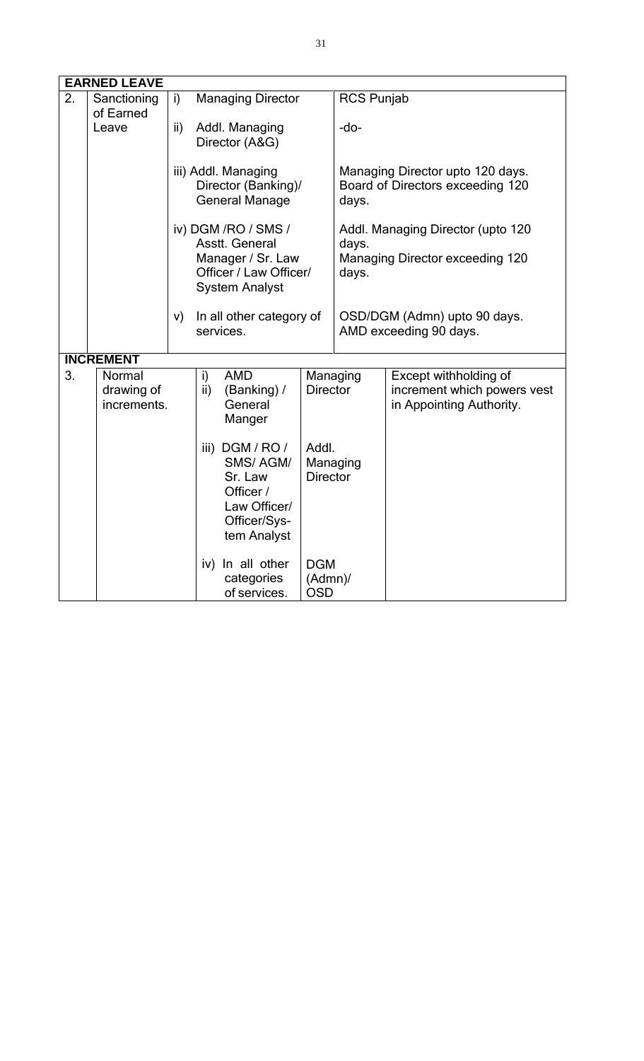|                  | <b>EARNED LEAVE</b>                                                                                                                                                                                                                  |     |                                                                                        |                                    |                                                                               |                                                                                  |
|------------------|--------------------------------------------------------------------------------------------------------------------------------------------------------------------------------------------------------------------------------------|-----|----------------------------------------------------------------------------------------|------------------------------------|-------------------------------------------------------------------------------|----------------------------------------------------------------------------------|
| $\overline{2}$ . | Sanctioning                                                                                                                                                                                                                          | i)  | <b>Managing Director</b>                                                               |                                    | <b>RCS Punjab</b>                                                             |                                                                                  |
|                  | of Earned<br>Leave                                                                                                                                                                                                                   | ii) | Addl. Managing<br>Director (A&G)                                                       |                                    | $-do-$                                                                        |                                                                                  |
|                  |                                                                                                                                                                                                                                      |     | iii) Addl. Managing<br>Director (Banking)/<br><b>General Manage</b>                    |                                    | Managing Director upto 120 days.<br>Board of Directors exceeding 120<br>days. |                                                                                  |
|                  |                                                                                                                                                                                                                                      |     | iv) DGM /RO / SMS /                                                                    |                                    |                                                                               | Addl. Managing Director (upto 120                                                |
|                  |                                                                                                                                                                                                                                      |     | Asstt. General<br>Manager / Sr. Law<br>Officer / Law Officer/<br><b>System Analyst</b> |                                    | days.<br>Managing Director exceeding 120<br>days.                             |                                                                                  |
|                  |                                                                                                                                                                                                                                      | V)  | In all other category of<br>services.                                                  |                                    | OSD/DGM (Admn) upto 90 days.<br>AMD exceeding 90 days.                        |                                                                                  |
|                  | <b>INCREMENT</b>                                                                                                                                                                                                                     |     |                                                                                        |                                    |                                                                               |                                                                                  |
| 3.               | <b>AMD</b><br>Normal<br>i)<br>ii)<br>(Banking) /<br>drawing of<br>General<br>increments.<br>Manger<br>iii) DGM / RO /<br>Addl.<br>SMS/AGM/<br><b>Director</b><br>Sr. Law<br>Officer /<br>Law Officer/<br>Officer/Sys-<br>tem Analyst |     |                                                                                        | Managing<br><b>Director</b>        |                                                                               | Except withholding of<br>increment which powers vest<br>in Appointing Authority. |
|                  |                                                                                                                                                                                                                                      |     | Managing                                                                               |                                    |                                                                               |                                                                                  |
|                  |                                                                                                                                                                                                                                      |     | iv) In all other<br>categories<br>of services.                                         | <b>DGM</b><br>(Admn)<br><b>OSD</b> |                                                                               |                                                                                  |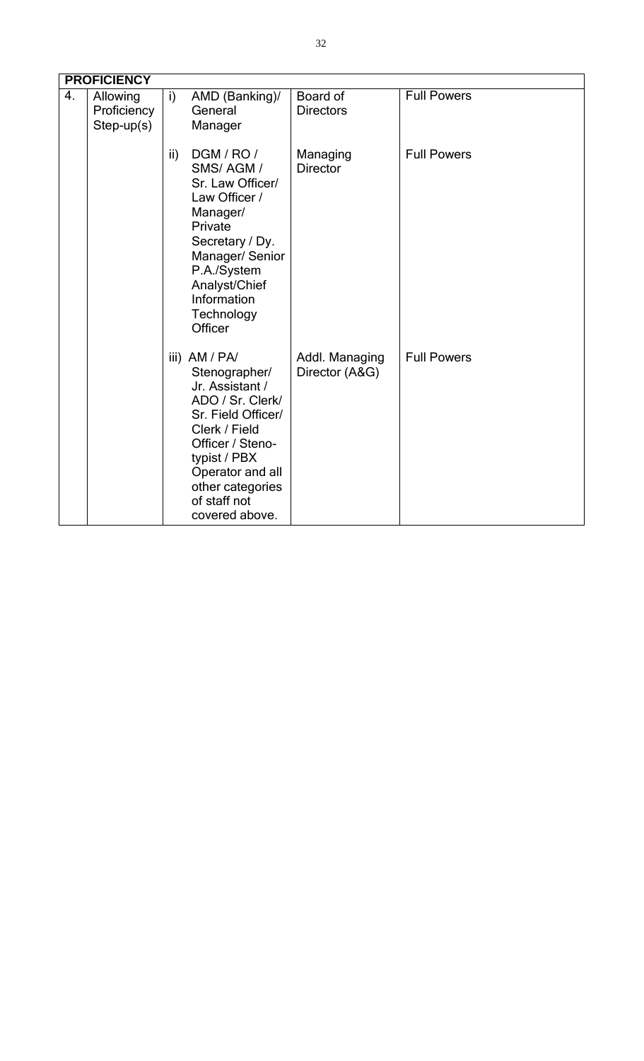|    | <b>PROFICIENCY</b>                      |               |                                                                                                                                                                                                                            |                                  |                    |  |  |
|----|-----------------------------------------|---------------|----------------------------------------------------------------------------------------------------------------------------------------------------------------------------------------------------------------------------|----------------------------------|--------------------|--|--|
| 4. | Allowing<br>Proficiency<br>$Step-up(s)$ | i)            | AMD (Banking)/<br>General<br>Manager                                                                                                                                                                                       | Board of<br><b>Directors</b>     | <b>Full Powers</b> |  |  |
|    |                                         | $\mathsf{ii}$ | DGM / RO /<br>SMS/AGM/<br>Sr. Law Officer/<br>Law Officer /<br>Manager/<br>Private<br>Secretary / Dy.<br>Manager/ Senior<br>P.A./System<br>Analyst/Chief<br>Information<br>Technology<br>Officer                           | Managing<br><b>Director</b>      | <b>Full Powers</b> |  |  |
|    |                                         |               | iii) AM / PA/<br>Stenographer/<br>Jr. Assistant /<br>ADO / Sr. Clerk/<br>Sr. Field Officer/<br>Clerk / Field<br>Officer / Steno-<br>typist / PBX<br>Operator and all<br>other categories<br>of staff not<br>covered above. | Addl. Managing<br>Director (A&G) | <b>Full Powers</b> |  |  |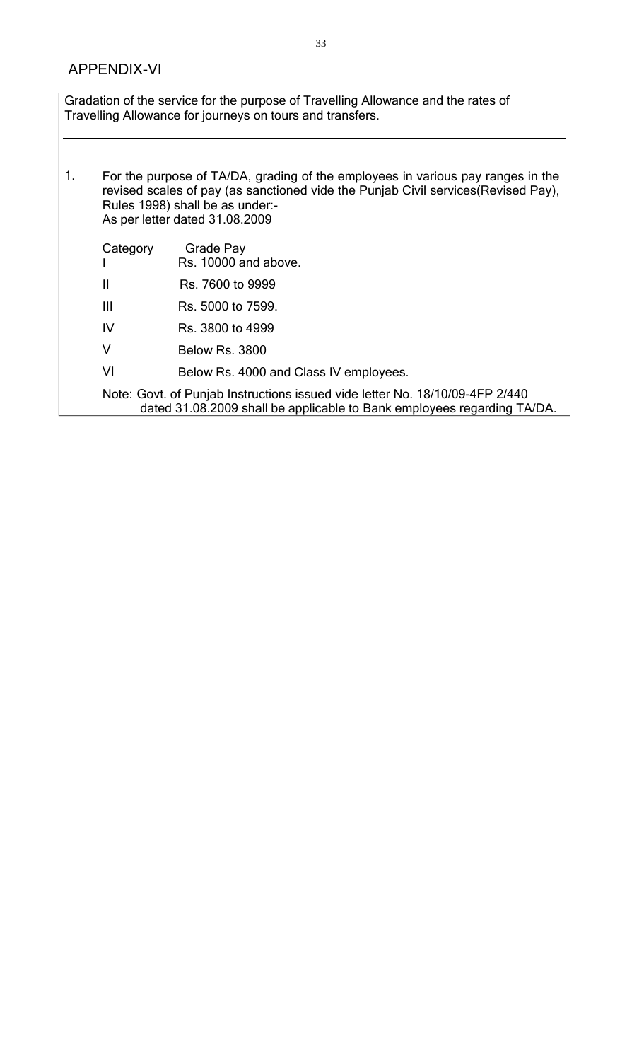Gradation of the service for the purpose of Travelling Allowance and the rates of Travelling Allowance for journeys on tours and transfers.

1. For the purpose of TA/DA, grading of the employees in various pay ranges in the revised scales of pay (as sanctioned vide the Punjab Civil services(Revised Pay), Rules 1998) shall be as under:- As per letter dated 31.08.2009 **Category** I II III IV V VI Grade Pay Rs. 10000 and above. Rs. 7600 to 9999 Rs. 5000 to 7599. Rs. 3800 to 4999 Below Rs. 3800 Below Rs. 4000 and Class IV employees. Note: Govt. of Punjab Instructions issued vide letter No. 18/10/09-4FP 2/440 dated 31.08.2009 shall be applicable to Bank employees regarding TA/DA.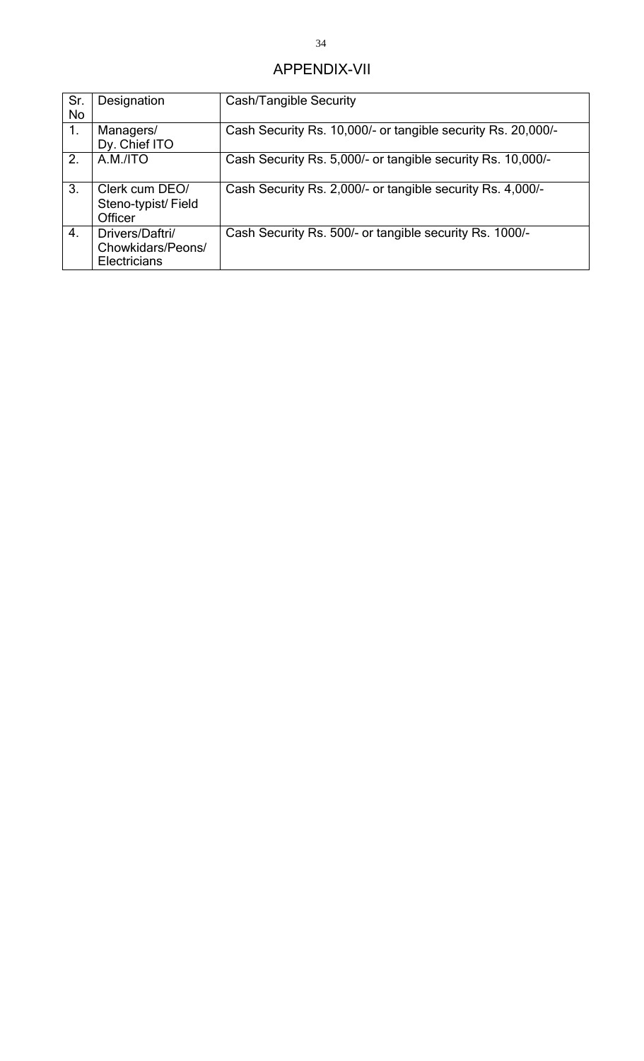### APPENDIX-VII

| Sr. | Designation        | <b>Cash/Tangible Security</b>                                |  |  |  |
|-----|--------------------|--------------------------------------------------------------|--|--|--|
| No  |                    |                                                              |  |  |  |
| 1.  | Managers/          | Cash Security Rs. 10,000/- or tangible security Rs. 20,000/- |  |  |  |
|     | Dy. Chief ITO      |                                                              |  |  |  |
| 2.  | A.M./ITO           | Cash Security Rs. 5,000/- or tangible security Rs. 10,000/-  |  |  |  |
|     |                    |                                                              |  |  |  |
| 3.  | Clerk cum DEO/     | Cash Security Rs. 2,000/- or tangible security Rs. 4,000/-   |  |  |  |
|     | Steno-typist/Field |                                                              |  |  |  |
|     | Officer            |                                                              |  |  |  |
| 4.  | Drivers/Daftri/    | Cash Security Rs. 500/- or tangible security Rs. 1000/-      |  |  |  |
|     | Chowkidars/Peons/  |                                                              |  |  |  |
|     | Electricians       |                                                              |  |  |  |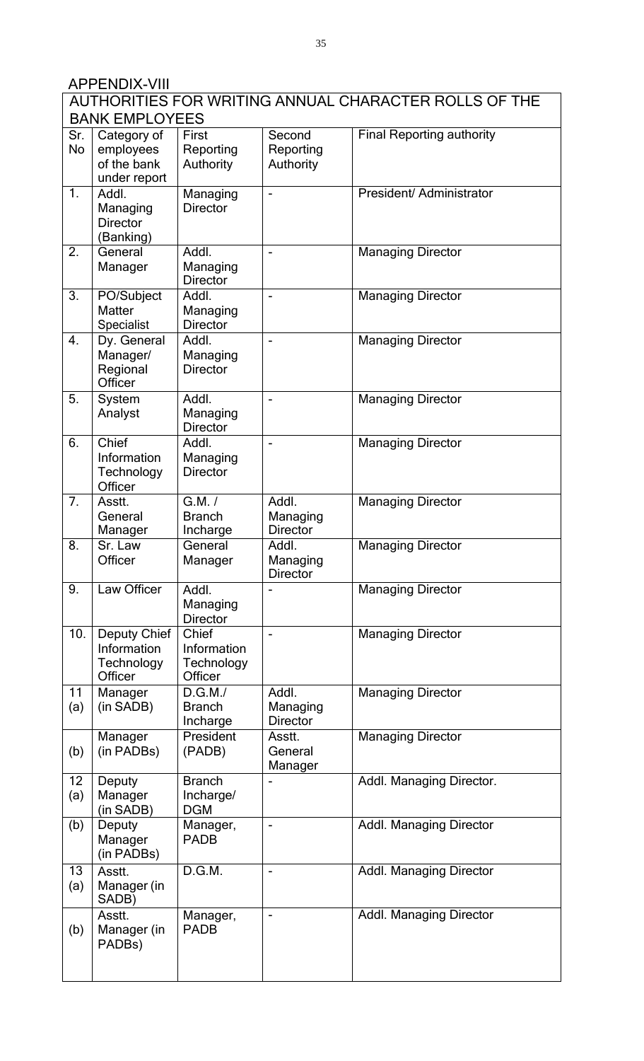# APPENDIX-VIII

|                  | <b>BANK EMPLOYEES</b>                                       |                                               |                                      | AUTHORITIES FOR WRITING ANNUAL CHARACTER ROLLS OF THE |
|------------------|-------------------------------------------------------------|-----------------------------------------------|--------------------------------------|-------------------------------------------------------|
| Sr.<br><b>No</b> | Category of<br>employees<br>of the bank<br>under report     | First<br>Reporting<br>Authority               | Second<br>Reporting<br>Authority     | <b>Final Reporting authority</b>                      |
| 1.               | Addl.<br>Managing<br><b>Director</b><br>(Banking)           | Managing<br><b>Director</b>                   |                                      | President/ Administrator                              |
| 2.               | General<br>Manager                                          | Addl.<br>Managing<br><b>Director</b>          |                                      | <b>Managing Director</b>                              |
| 3.               | PO/Subject<br><b>Matter</b><br>Specialist                   | Addl.<br>Managing<br><b>Director</b>          |                                      | <b>Managing Director</b>                              |
| $\overline{4}$ . | Dy. General<br>Manager/<br>Regional<br>Officer              | Addl.<br>Managing<br><b>Director</b>          |                                      | <b>Managing Director</b>                              |
| 5.               | System<br>Analyst                                           | Addl.<br>Managing<br><b>Director</b>          | $\overline{\phantom{a}}$             | <b>Managing Director</b>                              |
| 6.               | Chief<br>Information<br>Technology<br>Officer               | Addl.<br>Managing<br><b>Director</b>          | $\overline{\phantom{a}}$             | <b>Managing Director</b>                              |
| 7.               | Asstt.<br>General<br>Manager                                | G.M. /<br><b>Branch</b><br>Incharge           | Addl.<br>Managing<br><b>Director</b> | <b>Managing Director</b>                              |
| 8.               | Sr. Law<br>Officer                                          | General<br>Manager                            | Addl.<br>Managing<br><b>Director</b> | <b>Managing Director</b>                              |
| 9.               | Law Officer                                                 | Addl.<br>Managing<br><b>Director</b>          |                                      | <b>Managing Director</b>                              |
| 10.              | <b>Deputy Chief</b><br>Information<br>Technology<br>Officer | Chief<br>Information<br>Technology<br>Officer | $\qquad \qquad \blacksquare$         | <b>Managing Director</b>                              |
| 11<br>(a)        | Manager<br>(in SADB)                                        | D.G.M./<br><b>Branch</b><br>Incharge          | Addl.<br>Managing<br><b>Director</b> | <b>Managing Director</b>                              |
| (b)              | Manager<br>(in PADBs)                                       | President<br>(PADB)                           | Asstt.<br>General<br>Manager         | <b>Managing Director</b>                              |
| 12<br>(a)        | Deputy<br>Manager<br>(in SADB)                              | <b>Branch</b><br>Incharge/<br><b>DGM</b>      |                                      | Addl. Managing Director.                              |
| (b)              | Deputy<br>Manager<br>(in PADBs)                             | Manager,<br><b>PADB</b>                       | $\blacksquare$                       | <b>Addl. Managing Director</b>                        |
| 13<br>(a)        | Asstt.<br>Manager (in<br>SADB)                              | D.G.M.                                        |                                      | Addl. Managing Director                               |
| (b)              | Asstt.<br>Manager (in<br>PADBs)                             | Manager,<br><b>PADB</b>                       | $\overline{\phantom{a}}$             | <b>Addl. Managing Director</b>                        |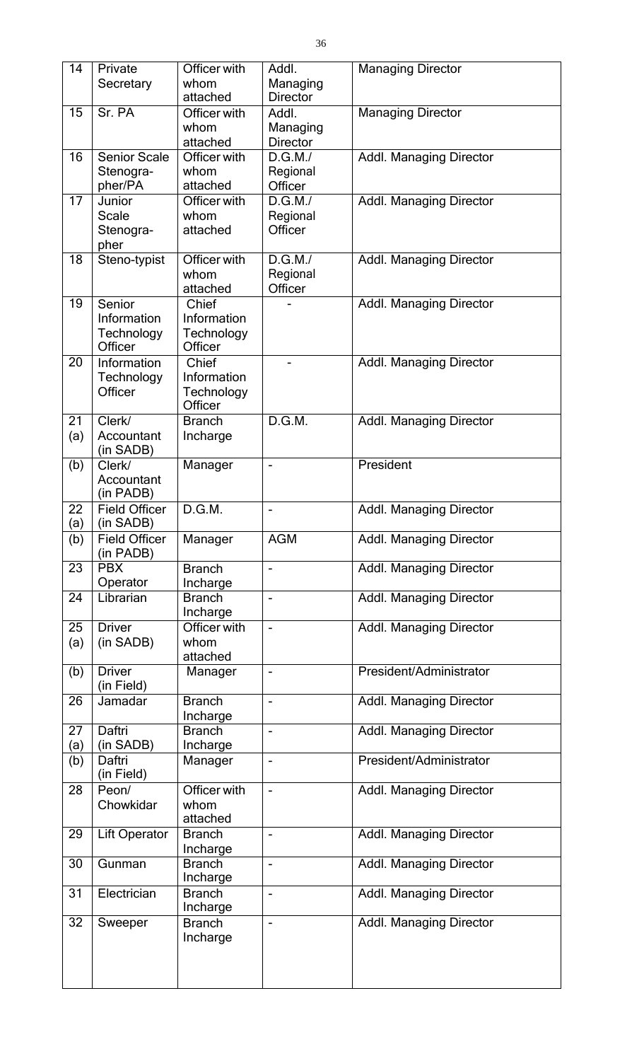| 14        | Private                           | Officer with              | Addl.                        | <b>Managing Director</b>       |
|-----------|-----------------------------------|---------------------------|------------------------------|--------------------------------|
|           | Secretary                         | whom<br>attached          | Managing<br><b>Director</b>  |                                |
| 15        | Sr. PA                            | Officer with              | Addl.                        | <b>Managing Director</b>       |
|           |                                   | whom<br>attached          | Managing<br><b>Director</b>  |                                |
| 16        | <b>Senior Scale</b>               | Officer with              | D.G.M./                      | <b>Addl. Managing Director</b> |
|           | Stenogra-<br>pher/PA              | whom<br>attached          | Regional<br>Officer          |                                |
| 17        | Junior                            | Officer with              | $\overline{D}$ .G.M./        | <b>Addl. Managing Director</b> |
|           | <b>Scale</b>                      | whom                      | Regional                     |                                |
|           | Stenogra-<br>pher                 | attached                  | Officer                      |                                |
| 18        | Steno-typist                      | Officer with              | D.G.M./                      | <b>Addl. Managing Director</b> |
|           |                                   | whom<br>attached          | Regional<br>Officer          |                                |
| 19        | Senior                            | Chief                     |                              | <b>Addl. Managing Director</b> |
|           | Information                       | Information               |                              |                                |
|           | Technology<br>Officer             | Technology<br>Officer     |                              |                                |
| 20        | Information                       | Chief                     |                              | <b>Addl. Managing Director</b> |
|           | Technology<br>Officer             | Information<br>Technology |                              |                                |
|           |                                   | Officer                   |                              |                                |
| 21<br>(a) | Clerk/<br>Accountant              | <b>Branch</b><br>Incharge | D.G.M.                       | <b>Addl. Managing Director</b> |
|           | (in SADB)                         |                           |                              |                                |
| (b)       | Clerk/<br>Accountant              | Manager                   | $\overline{\phantom{a}}$     | President                      |
|           | (in PADB)                         |                           |                              |                                |
| 22<br>(a) | <b>Field Officer</b><br>(in SADB) | D.G.M.                    | $\qquad \qquad \blacksquare$ | <b>Addl. Managing Director</b> |
| (b)       | <b>Field Officer</b><br>(in PADB) | Manager                   | <b>AGM</b>                   | <b>Addl. Managing Director</b> |
| 23        | <b>PBX</b>                        | <b>Branch</b>             |                              | <b>Addl. Managing Director</b> |
| 24        | Operator<br>Librarian             | Incharge<br><b>Branch</b> | $\overline{\phantom{0}}$     | <b>Addl. Managing Director</b> |
|           |                                   | Incharge                  |                              |                                |
| 25        | <b>Driver</b>                     | Officer with              | $\qquad \qquad \blacksquare$ | <b>Addl. Managing Director</b> |
| (a)       | (in SADB)                         | whom<br>attached          |                              |                                |
| (b)       | <b>Driver</b>                     | Manager                   | $\overline{\phantom{a}}$     | President/Administrator        |
| 26        | (in Field)<br>Jamadar             | <b>Branch</b>             | $\overline{\phantom{a}}$     | <b>Addl. Managing Director</b> |
|           |                                   | Incharge                  |                              |                                |
| 27<br>(a) | Daftri<br>(in SADB)               | <b>Branch</b><br>Incharge | $\overline{\phantom{0}}$     | <b>Addl. Managing Director</b> |
| (b)       | Daftri                            | Manager                   | $\overline{\phantom{a}}$     | President/Administrator        |
| 28        | (in Field)<br>Peon/               | Officer with              | ÷,                           | <b>Addl. Managing Director</b> |
|           | Chowkidar                         | whom                      |                              |                                |
| 29        | Lift Operator                     | attached<br><b>Branch</b> | $\blacksquare$               | <b>Addl. Managing Director</b> |
|           |                                   | Incharge                  |                              |                                |
| 30        | Gunman                            | <b>Branch</b><br>Incharge | $\qquad \qquad \blacksquare$ | <b>Addl. Managing Director</b> |
| 31        | Electrician                       | <b>Branch</b>             |                              | <b>Addl. Managing Director</b> |
| 32        | Sweeper                           | Incharge<br><b>Branch</b> | ÷,                           | <b>Addl. Managing Director</b> |
|           |                                   | Incharge                  |                              |                                |
|           |                                   |                           |                              |                                |
|           |                                   |                           |                              |                                |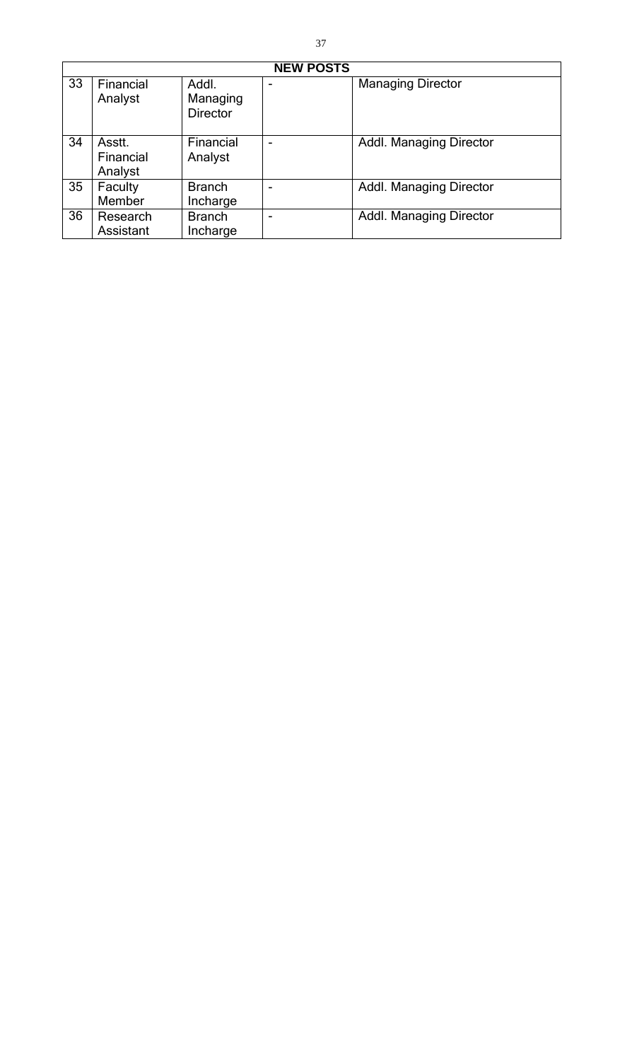| <b>NEW POSTS</b> |                                |                                      |  |                                |  |  |
|------------------|--------------------------------|--------------------------------------|--|--------------------------------|--|--|
| 33               | Financial<br>Analyst           | Addl.<br>Managing<br><b>Director</b> |  | <b>Managing Director</b>       |  |  |
| 34               | Asstt.<br>Financial<br>Analyst | Financial<br>Analyst                 |  | <b>Addl. Managing Director</b> |  |  |
| 35               | Faculty<br>Member              | <b>Branch</b><br>Incharge            |  | <b>Addl. Managing Director</b> |  |  |
| 36               | Research<br>Assistant          | <b>Branch</b><br>Incharge            |  | <b>Addl. Managing Director</b> |  |  |